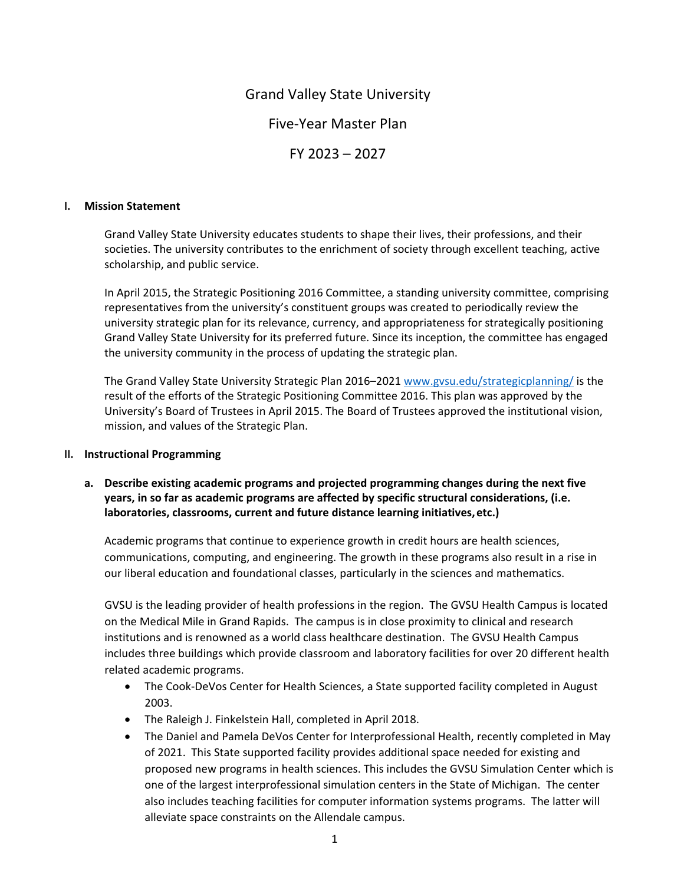# Grand Valley State University

# Five‐Year Master Plan

FY 2023 – 2027

#### **I. Mission Statement**

Grand Valley State University educates students to shape their lives, their professions, and their societies. The university contributes to the enrichment of society through excellent teaching, active scholarship, and public service.

In April 2015, the Strategic Positioning 2016 Committee, a standing university committee, comprising representatives from the university's constituent groups was created to periodically review the university strategic plan for its relevance, currency, and appropriateness for strategically positioning Grand Valley State University for its preferred future. Since its inception, the committee has engaged the university community in the process of updating the strategic plan.

The Grand Valley State University Strategic Plan 2016–2021 www.gvsu.edu/strategicplanning/ is the result of the efforts of the Strategic Positioning Committee 2016. This plan was approved by the University's Board of Trustees in April 2015. The Board of Trustees approved the institutional vision, mission, and values of the Strategic Plan.

#### **II. Instructional Programming**

**a. Describe existing academic programs and projected programming changes during the next five years, in so far as academic programs are affected by specific structural considerations, (i.e. laboratories, classrooms, current and future distance learning initiatives,etc.)**

Academic programs that continue to experience growth in credit hours are health sciences, communications, computing, and engineering. The growth in these programs also result in a rise in our liberal education and foundational classes, particularly in the sciences and mathematics.

GVSU is the leading provider of health professions in the region. The GVSU Health Campus is located on the Medical Mile in Grand Rapids. The campus is in close proximity to clinical and research institutions and is renowned as a world class healthcare destination. The GVSU Health Campus includes three buildings which provide classroom and laboratory facilities for over 20 different health related academic programs.

- The Cook-DeVos Center for Health Sciences, a State supported facility completed in August 2003.
- The Raleigh J. Finkelstein Hall, completed in April 2018.
- The Daniel and Pamela DeVos Center for Interprofessional Health, recently completed in May of 2021. This State supported facility provides additional space needed for existing and proposed new programs in health sciences. This includes the GVSU Simulation Center which is one of the largest interprofessional simulation centers in the State of Michigan. The center also includes teaching facilities for computer information systems programs. The latter will alleviate space constraints on the Allendale campus.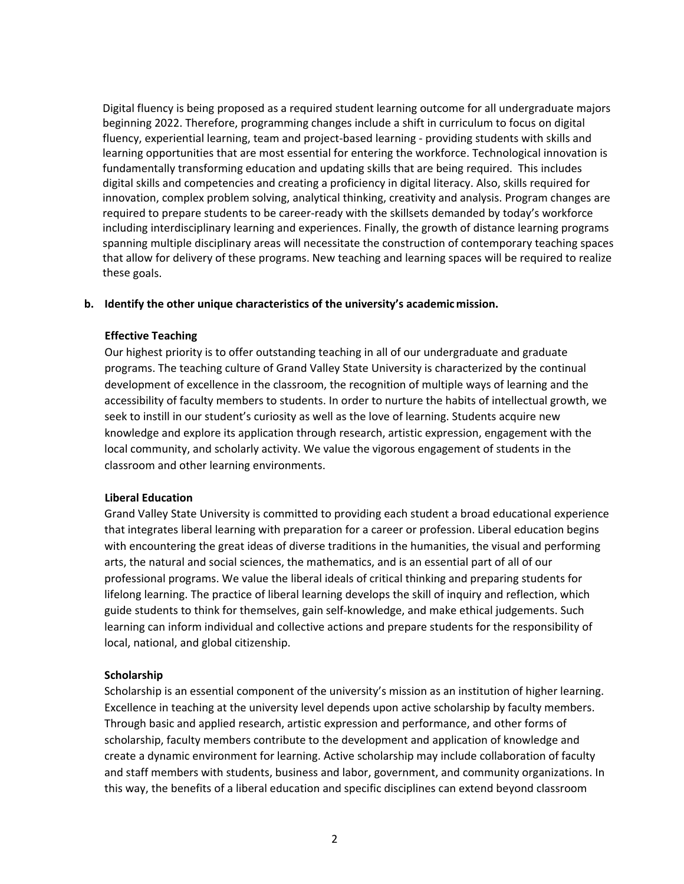Digital fluency is being proposed as a required student learning outcome for all undergraduate majors beginning 2022. Therefore, programming changes include a shift in curriculum to focus on digital fluency, experiential learning, team and project-based learning - providing students with skills and learning opportunities that are most essential for entering the workforce. Technological innovation is fundamentally transforming education and updating skills that are being required. This includes digital skills and competencies and creating a proficiency in digital literacy. Also, skills required for innovation, complex problem solving, analytical thinking, creativity and analysis. Program changes are required to prepare students to be career-ready with the skillsets demanded by today's workforce including interdisciplinary learning and experiences. Finally, the growth of distance learning programs spanning multiple disciplinary areas will necessitate the construction of contemporary teaching spaces that allow for delivery of these programs. New teaching and learning spaces will be required to realize these goals.

#### **b. Identify the other unique characteristics of the university's academicmission.**

#### **Effective Teaching**

Our highest priority is to offer outstanding teaching in all of our undergraduate and graduate programs. The teaching culture of Grand Valley State University is characterized by the continual development of excellence in the classroom, the recognition of multiple ways of learning and the accessibility of faculty members to students. In order to nurture the habits of intellectual growth, we seek to instill in our student's curiosity as well as the love of learning. Students acquire new knowledge and explore its application through research, artistic expression, engagement with the local community, and scholarly activity. We value the vigorous engagement of students in the classroom and other learning environments.

#### **Liberal Education**

Grand Valley State University is committed to providing each student a broad educational experience that integrates liberal learning with preparation for a career or profession. Liberal education begins with encountering the great ideas of diverse traditions in the humanities, the visual and performing arts, the natural and social sciences, the mathematics, and is an essential part of all of our professional programs. We value the liberal ideals of critical thinking and preparing students for lifelong learning. The practice of liberal learning develops the skill of inquiry and reflection, which guide students to think for themselves, gain self‐knowledge, and make ethical judgements. Such learning can inform individual and collective actions and prepare students for the responsibility of local, national, and global citizenship.

# **Scholarship**

Scholarship is an essential component of the university's mission as an institution of higher learning. Excellence in teaching at the university level depends upon active scholarship by faculty members. Through basic and applied research, artistic expression and performance, and other forms of scholarship, faculty members contribute to the development and application of knowledge and create a dynamic environment for learning. Active scholarship may include collaboration of faculty and staff members with students, business and labor, government, and community organizations. In this way, the benefits of a liberal education and specific disciplines can extend beyond classroom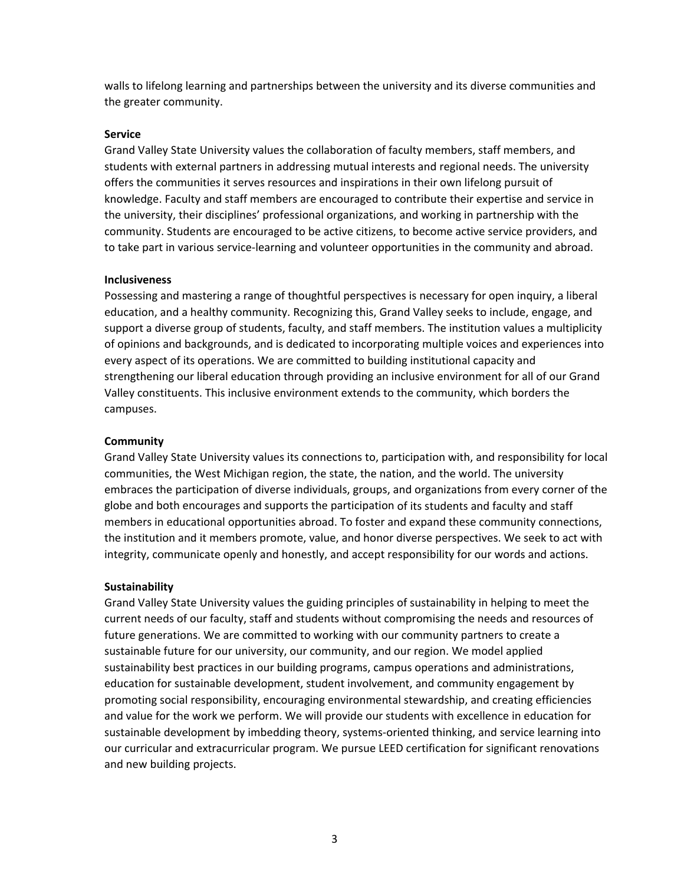walls to lifelong learning and partnerships between the university and its diverse communities and the greater community.

#### **Service**

Grand Valley State University values the collaboration of faculty members, staff members, and students with external partners in addressing mutual interests and regional needs. The university offers the communities it serves resources and inspirations in their own lifelong pursuit of knowledge. Faculty and staff members are encouraged to contribute their expertise and service in the university, their disciplines' professional organizations, and working in partnership with the community. Students are encouraged to be active citizens, to become active service providers, and to take part in various service‐learning and volunteer opportunities in the community and abroad.

#### **Inclusiveness**

Possessing and mastering a range of thoughtful perspectives is necessary for open inquiry, a liberal education, and a healthy community. Recognizing this, Grand Valley seeks to include, engage, and support a diverse group of students, faculty, and staff members. The institution values a multiplicity of opinions and backgrounds, and is dedicated to incorporating multiple voices and experiences into every aspect of its operations. We are committed to building institutional capacity and strengthening our liberal education through providing an inclusive environment for all of our Grand Valley constituents. This inclusive environment extends to the community, which borders the campuses.

#### **Community**

Grand Valley State University values its connections to, participation with, and responsibility for local communities, the West Michigan region, the state, the nation, and the world. The university embraces the participation of diverse individuals, groups, and organizations from every corner of the globe and both encourages and supports the participation of its students and faculty and staff members in educational opportunities abroad. To foster and expand these community connections, the institution and it members promote, value, and honor diverse perspectives. We seek to act with integrity, communicate openly and honestly, and accept responsibility for our words and actions.

#### **Sustainability**

Grand Valley State University values the guiding principles of sustainability in helping to meet the current needs of our faculty, staff and students without compromising the needs and resources of future generations. We are committed to working with our community partners to create a sustainable future for our university, our community, and our region. We model applied sustainability best practices in our building programs, campus operations and administrations, education for sustainable development, student involvement, and community engagement by promoting social responsibility, encouraging environmental stewardship, and creating efficiencies and value for the work we perform. We will provide our students with excellence in education for sustainable development by imbedding theory, systems‐oriented thinking, and service learning into our curricular and extracurricular program. We pursue LEED certification for significant renovations and new building projects.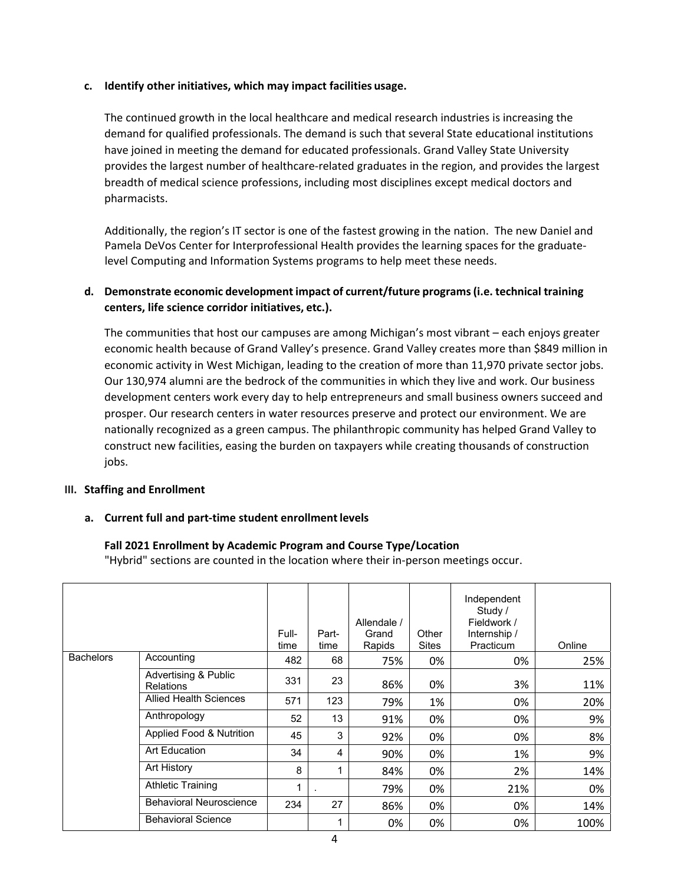#### **c. Identify other initiatives, which may impact facilities usage.**

The continued growth in the local healthcare and medical research industries is increasing the demand for qualified professionals. The demand is such that several State educational institutions have joined in meeting the demand for educated professionals. Grand Valley State University provides the largest number of healthcare‐related graduates in the region, and provides the largest breadth of medical science professions, including most disciplines except medical doctors and pharmacists.

Additionally, the region's IT sector is one of the fastest growing in the nation. The new Daniel and Pamela DeVos Center for Interprofessional Health provides the learning spaces for the graduate‐ level Computing and Information Systems programs to help meet these needs.

# **d. Demonstrate economic development impact of current/future programs(i.e. technical training centers, life science corridor initiatives, etc.).**

The communities that host our campuses are among Michigan's most vibrant – each enjoys greater economic health because of Grand Valley's presence. Grand Valley creates more than \$849 million in economic activity in West Michigan, leading to the creation of more than 11,970 private sector jobs. Our 130,974 alumni are the bedrock of the communities in which they live and work. Our business development centers work every day to help entrepreneurs and small business owners succeed and prosper. Our research centers in water resources preserve and protect our environment. We are nationally recognized as a green campus. The philanthropic community has helped Grand Valley to construct new facilities, easing the burden on taxpayers while creating thousands of construction jobs.

#### **III. Staffing and Enrollment**

#### **a. Current full and part‐time student enrollmentlevels**

#### **Fall 2021 Enrollment by Academic Program and Course Type/Location**

"Hybrid" sections are counted in the location where their in‐person meetings occur.

|                  |                                          | Full-<br>time | Part-<br>time | Allendale /<br>Grand<br>Rapids | Other<br>Sites | Independent<br>Study /<br>Fieldwork /<br>Internship /<br>Practicum | Online |
|------------------|------------------------------------------|---------------|---------------|--------------------------------|----------------|--------------------------------------------------------------------|--------|
| <b>Bachelors</b> | Accounting                               | 482           | 68            | 75%                            | 0%             | 0%                                                                 | 25%    |
|                  | Advertising & Public<br><b>Relations</b> | 331           | 23            | 86%                            | 0%             | 3%                                                                 | 11%    |
|                  | <b>Allied Health Sciences</b>            | 571           | 123           | 79%                            | 1%             | 0%                                                                 | 20%    |
|                  | Anthropology                             | 52            | 13            | 91%                            | 0%             | 0%                                                                 | 9%     |
|                  | Applied Food & Nutrition                 | 45            | 3             | 92%                            | 0%             | 0%                                                                 | 8%     |
|                  | Art Education                            | 34            | 4             | 90%                            | 0%             | 1%                                                                 | 9%     |
|                  | <b>Art History</b>                       | 8             |               | 84%                            | 0%             | 2%                                                                 | 14%    |
|                  | <b>Athletic Training</b>                 | 1             |               | 79%                            | 0%             | 21%                                                                | 0%     |
|                  | <b>Behavioral Neuroscience</b>           | 234           | 27            | 86%                            | 0%             | 0%                                                                 | 14%    |
|                  | <b>Behavioral Science</b>                |               |               | 0%                             | 0%             | 0%                                                                 | 100%   |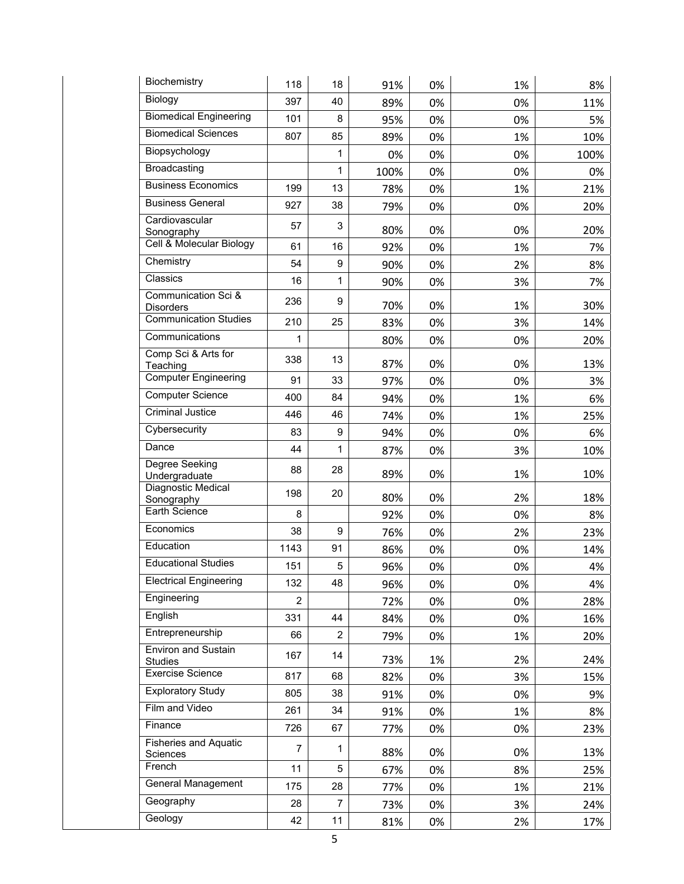| Biochemistry                                 | 118            | 18             | 91%  | 0% | 1% | 8%   |
|----------------------------------------------|----------------|----------------|------|----|----|------|
| Biology                                      | 397            | 40             | 89%  | 0% | 0% | 11%  |
| <b>Biomedical Engineering</b>                | 101            | 8              | 95%  | 0% | 0% | 5%   |
| <b>Biomedical Sciences</b>                   | 807            | 85             | 89%  | 0% | 1% | 10%  |
| Biopsychology                                |                | 1              | 0%   | 0% | 0% | 100% |
| Broadcasting                                 |                | $\mathbf{1}$   | 100% | 0% | 0% | 0%   |
| <b>Business Economics</b>                    | 199            | 13             | 78%  | 0% | 1% | 21%  |
| <b>Business General</b>                      | 927            | 38             | 79%  | 0% | 0% | 20%  |
| Cardiovascular                               | 57             | 3              |      |    |    |      |
| Sonography<br>Cell & Molecular Biology       | 61             |                | 80%  | 0% | 0% | 20%  |
| Chemistry                                    | 54             | 16             | 92%  | 0% | 1% | 7%   |
| Classics                                     |                | 9              | 90%  | 0% | 2% | 8%   |
| Communication Sci &                          | 16             | $\mathbf{1}$   | 90%  | 0% | 3% | 7%   |
| <b>Disorders</b>                             | 236            | 9              | 70%  | 0% | 1% | 30%  |
| <b>Communication Studies</b>                 | 210            | 25             | 83%  | 0% | 3% | 14%  |
| Communications                               | 1              |                | 80%  | 0% | 0% | 20%  |
| Comp Sci & Arts for<br>Teaching              | 338            | 13             | 87%  | 0% | 0% | 13%  |
| <b>Computer Engineering</b>                  | 91             | 33             | 97%  | 0% | 0% | 3%   |
| <b>Computer Science</b>                      | 400            | 84             | 94%  | 0% | 1% | 6%   |
| <b>Criminal Justice</b>                      | 446            | 46             | 74%  | 0% | 1% | 25%  |
| Cybersecurity                                | 83             | 9              | 94%  | 0% | 0% | 6%   |
| Dance                                        | 44             | $\mathbf{1}$   | 87%  | 0% | 3% | 10%  |
| Degree Seeking<br>Undergraduate              | 88             | 28             | 89%  | 0% | 1% | 10%  |
| Diagnostic Medical<br>Sonography             | 198            | 20             | 80%  | 0% | 2% | 18%  |
| Earth Science                                | 8              |                | 92%  | 0% | 0% | 8%   |
| Economics                                    | 38             | 9              | 76%  | 0% | 2% | 23%  |
| Education                                    | 1143           | 91             | 86%  | 0% | 0% | 14%  |
| <b>Educational Studies</b>                   | 151            | 5              | 96%  | 0% | 0% | 4%   |
| <b>Electrical Engineering</b>                | 132            | 48             | 96%  | 0% | 0% | 4%   |
| Engineering                                  | $\overline{2}$ |                | 72%  | 0% | 0% | 28%  |
| English                                      | 331            | 44             | 84%  | 0% | 0% | 16%  |
| Entrepreneurship                             | 66             | 2              | 79%  | 0% | 1% | 20%  |
| <b>Environ and Sustain</b><br><b>Studies</b> | 167            | 14             | 73%  | 1% | 2% | 24%  |
| Exercise Science                             | 817            | 68             | 82%  | 0% | 3% | 15%  |
| <b>Exploratory Study</b>                     | 805            | 38             | 91%  | 0% | 0% | 9%   |
| Film and Video                               | 261            | 34             | 91%  | 0% | 1% | 8%   |
| Finance                                      | 726            | 67             | 77%  | 0% | 0% | 23%  |
| <b>Fisheries and Aquatic</b><br>Sciences     | 7              | 1              | 88%  | 0% | 0% | 13%  |
| French                                       | 11             | 5              | 67%  | 0% | 8% | 25%  |
| General Management                           |                |                |      |    |    |      |
|                                              | 175            | 28             | 77%  | 0% | 1% | 21%  |
| Geography                                    | 28             | $\overline{7}$ | 73%  | 0% | 3% | 24%  |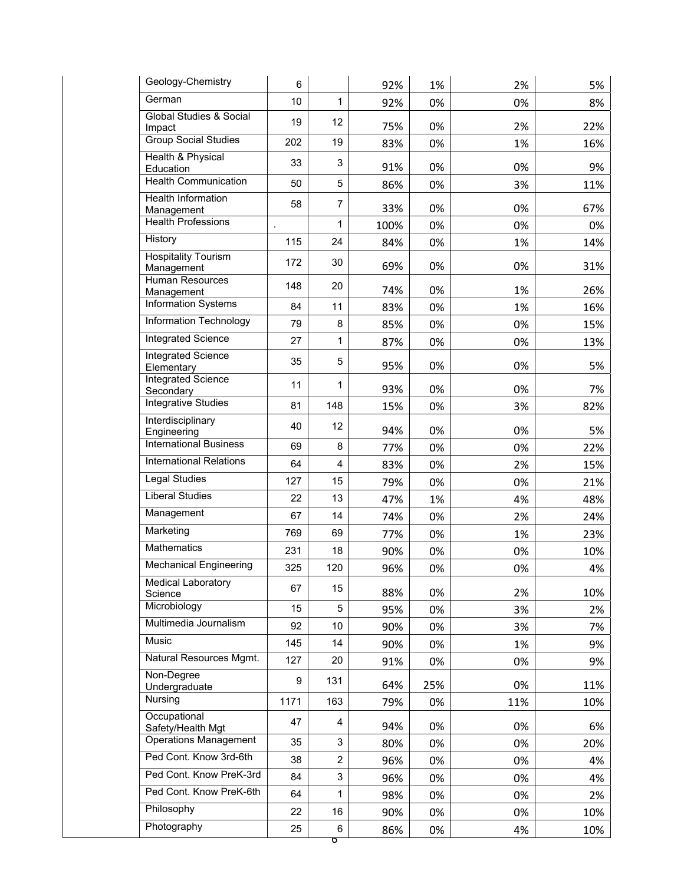| Geology-Chemistry                            | 6    |                | 92%  | 1%  | 2%  | 5%  |
|----------------------------------------------|------|----------------|------|-----|-----|-----|
| German                                       | 10   | 1              | 92%  | 0%  | 0%  | 8%  |
| <b>Global Studies &amp; Social</b><br>Impact | 19   | 12             | 75%  | 0%  | 2%  | 22% |
| <b>Group Social Studies</b>                  | 202  | 19             | 83%  | 0%  | 1%  | 16% |
| Health & Physical<br>Education               | 33   | 3              | 91%  | 0%  | 0%  | 9%  |
| <b>Health Communication</b>                  | 50   | 5              | 86%  | 0%  | 3%  | 11% |
| <b>Health Information</b>                    | 58   | $\overline{7}$ |      |     |     |     |
| Management<br><b>Health Professions</b>      |      | 1              | 33%  | 0%  | 0%  | 67% |
| History                                      | 115  |                | 100% | 0%  | 0%  | 0%  |
| <b>Hospitality Tourism</b>                   |      | 24             | 84%  | 0%  | 1%  | 14% |
| Management                                   | 172  | 30             | 69%  | 0%  | 0%  | 31% |
| <b>Human Resources</b><br>Management         | 148  | 20             | 74%  | 0%  | 1%  | 26% |
| Information Systems                          | 84   | 11             | 83%  | 0%  | 1%  | 16% |
| Information Technology                       | 79   | 8              | 85%  | 0%  | 0%  | 15% |
| Integrated Science                           | 27   | 1              | 87%  | 0%  | 0%  | 13% |
| <b>Integrated Science</b><br>Elementary      | 35   | 5              | 95%  | 0%  | 0%  | 5%  |
| <b>Integrated Science</b><br>Secondary       | 11   | 1              | 93%  | 0%  | 0%  | 7%  |
| Integrative Studies                          | 81   | 148            | 15%  | 0%  | 3%  | 82% |
| Interdisciplinary<br>Engineering             | 40   | 12             | 94%  | 0%  | 0%  | 5%  |
| <b>International Business</b>                | 69   | 8              | 77%  | 0%  | 0%  | 22% |
| <b>International Relations</b>               | 64   | 4              | 83%  | 0%  | 2%  | 15% |
| <b>Legal Studies</b>                         | 127  | 15             | 79%  | 0%  | 0%  | 21% |
| <b>Liberal Studies</b>                       | 22   | 13             | 47%  | 1%  | 4%  | 48% |
| Management                                   | 67   | 14             | 74%  | 0%  | 2%  | 24% |
| Marketing                                    | 769  | 69             | 77%  | 0%  | 1%  | 23% |
| <b>Mathematics</b>                           | 231  | 18             | 90%  | 0%  | 0%  | 10% |
| <b>Mechanical Engineering</b>                | 325  | 120            | 96%  | 0%  | 0%  | 4%  |
| Medical Laboratory<br>Science                | 67   | 15             | 88%  | 0%  | 2%  | 10% |
| Microbiology                                 | 15   | 5              | 95%  | 0%  | 3%  | 2%  |
| Multimedia Journalism                        | 92   | 10             | 90%  | 0%  | 3%  | 7%  |
| Music                                        | 145  | 14             | 90%  | 0%  | 1%  | 9%  |
| Natural Resources Mgmt.                      | 127  | 20             | 91%  | 0%  | 0%  | 9%  |
| Non-Degree<br>Undergraduate                  | 9    | 131            | 64%  | 25% | 0%  | 11% |
| Nursing                                      | 1171 | 163            | 79%  | 0%  | 11% | 10% |
| Occupational<br>Safety/Health Mgt            | 47   | 4              | 94%  | 0%  | 0%  | 6%  |
| <b>Operations Management</b>                 | 35   | 3              | 80%  | 0%  | 0%  | 20% |
| Ped Cont. Know 3rd-6th                       | 38   | $\overline{c}$ | 96%  | 0%  | 0%  | 4%  |
| Ped Cont. Know PreK-3rd                      | 84   | 3              | 96%  | 0%  | 0%  | 4%  |
| Ped Cont. Know PreK-6th                      | 64   | 1              | 98%  | 0%  | 0%  | 2%  |
| Philosophy                                   | 22   | 16             | 90%  | 0%  | 0%  | 10% |
| Photography                                  | 25   | 6              | 86%  | 0%  | 4%  | 10% |
|                                              |      |                |      |     |     |     |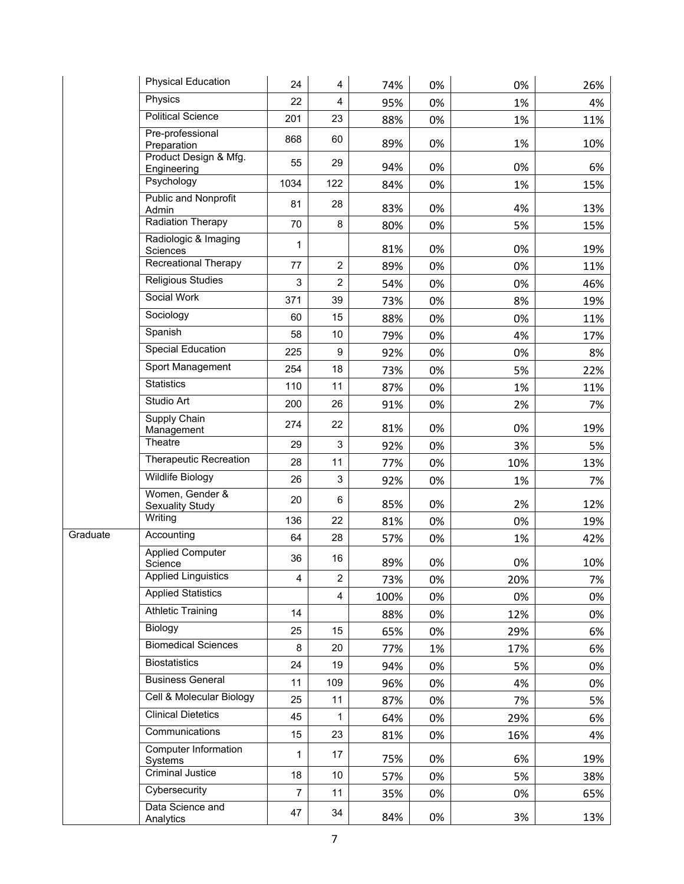|          | <b>Physical Education</b>                 | 24             | 4                         | 74%  | 0% | 0%  | 26% |
|----------|-------------------------------------------|----------------|---------------------------|------|----|-----|-----|
|          | Physics                                   | 22             | $\overline{4}$            | 95%  | 0% | 1%  | 4%  |
|          | <b>Political Science</b>                  | 201            | 23                        | 88%  | 0% | 1%  | 11% |
|          | Pre-professional<br>Preparation           | 868            | 60                        | 89%  | 0% | 1%  | 10% |
|          | Product Design & Mfg.<br>Engineering      | 55             | 29                        | 94%  | 0% | 0%  | 6%  |
|          | Psychology                                | 1034           | 122                       | 84%  | 0% | 1%  | 15% |
|          | <b>Public and Nonprofit</b><br>Admin      | 81             | 28                        | 83%  | 0% | 4%  | 13% |
|          | <b>Radiation Therapy</b>                  | 70             | 8                         | 80%  | 0% | 5%  | 15% |
|          | Radiologic & Imaging<br>Sciences          | 1              |                           | 81%  | 0% | 0%  | 19% |
|          | Recreational Therapy                      | 77             | $\overline{c}$            | 89%  | 0% | 0%  | 11% |
|          | <b>Religious Studies</b>                  | 3              | $\overline{c}$            | 54%  | 0% | 0%  | 46% |
|          | Social Work                               | 371            | 39                        | 73%  | 0% | 8%  | 19% |
|          | Sociology                                 | 60             | 15                        | 88%  | 0% | 0%  | 11% |
|          | Spanish                                   | 58             | 10                        | 79%  | 0% | 4%  | 17% |
|          | <b>Special Education</b>                  | 225            | 9                         | 92%  | 0% | 0%  | 8%  |
|          | Sport Management                          | 254            | 18                        | 73%  | 0% | 5%  | 22% |
|          | <b>Statistics</b>                         | 110            | 11                        | 87%  | 0% | 1%  | 11% |
|          | Studio Art                                | 200            | 26                        | 91%  | 0% | 2%  | 7%  |
|          | Supply Chain<br>Management                | 274            | 22                        | 81%  | 0% | 0%  | 19% |
|          | Theatre                                   | 29             | $\mathsf 3$               | 92%  | 0% | 3%  | 5%  |
|          | Therapeutic Recreation                    | 28             | 11                        | 77%  | 0% | 10% | 13% |
|          | Wildlife Biology                          | 26             | $\ensuremath{\mathsf{3}}$ | 92%  | 0% | 1%  | 7%  |
|          | Women, Gender &<br><b>Sexuality Study</b> | 20             | 6                         | 85%  | 0% | 2%  | 12% |
|          | Writing                                   | 136            | 22                        | 81%  | 0% | 0%  | 19% |
| Graduate | Accounting                                | 64             | 28                        | 57%  | 0% | 1%  | 42% |
|          | <b>Applied Computer</b><br>Science        | 36             | 16                        | 89%  | 0% | 0%  | 10% |
|          | <b>Applied Linguistics</b>                | 4              | $\overline{2}$            | 73%  | 0% | 20% | 7%  |
|          | <b>Applied Statistics</b>                 |                | $\overline{4}$            | 100% | 0% | 0%  | 0%  |
|          | <b>Athletic Training</b>                  | 14             |                           | 88%  | 0% | 12% | 0%  |
|          | Biology                                   | 25             | 15                        | 65%  | 0% | 29% | 6%  |
|          | <b>Biomedical Sciences</b>                | 8              | 20                        | 77%  | 1% | 17% | 6%  |
|          | <b>Biostatistics</b>                      | 24             | 19                        | 94%  | 0% | 5%  | 0%  |
|          | <b>Business General</b>                   | 11             | 109                       | 96%  | 0% | 4%  | 0%  |
|          | Cell & Molecular Biology                  | 25             | 11                        | 87%  | 0% | 7%  | 5%  |
|          | <b>Clinical Dietetics</b>                 | 45             | $\mathbf 1$               | 64%  | 0% | 29% | 6%  |
|          | Communications                            | 15             | 23                        | 81%  | 0% | 16% | 4%  |
|          | <b>Computer Information</b>               | 1              | 17                        | 75%  | 0% | 6%  | 19% |
|          | Systems<br><b>Criminal Justice</b>        | 18             | 10                        | 57%  | 0% | 5%  | 38% |
|          | Cybersecurity                             | $\overline{7}$ | 11                        | 35%  | 0% | 0%  | 65% |
|          | Data Science and<br>Analytics             | 47             | 34                        | 84%  | 0% | 3%  | 13% |
|          |                                           |                |                           |      |    |     |     |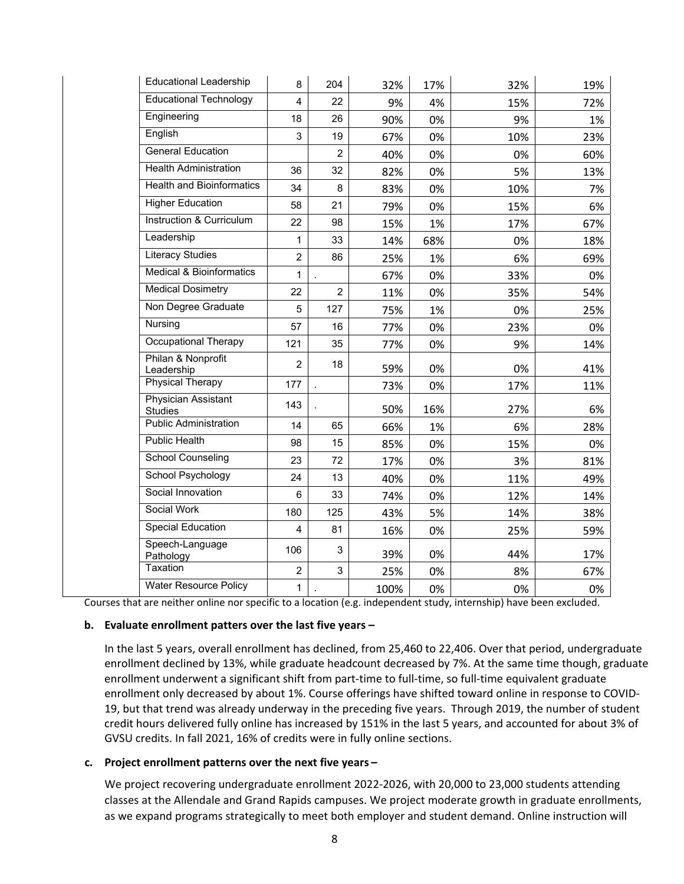| <b>Educational Leadership</b>                | 8              | 204            | 32%  | 17% | 32% | 19% |
|----------------------------------------------|----------------|----------------|------|-----|-----|-----|
| <b>Educational Technology</b>                | 4              | 22             | 9%   | 4%  | 15% | 72% |
| Engineering                                  | 18             | 26             | 90%  | 0%  | 9%  | 1%  |
| English                                      | 3              | 19             | 67%  | 0%  | 10% | 23% |
| <b>General Education</b>                     |                | $\overline{2}$ | 40%  | 0%  | 0%  | 60% |
| <b>Health Administration</b>                 | 36             | 32             | 82%  | 0%  | 5%  | 13% |
| <b>Health and Bioinformatics</b>             | 34             | 8              | 83%  | 0%  | 10% | 7%  |
| <b>Higher Education</b>                      | 58             | 21             | 79%  | 0%  | 15% | 6%  |
| Instruction & Curriculum                     | 22             | 98             | 15%  | 1%  | 17% | 67% |
| Leadership                                   | 1              | 33             | 14%  | 68% | 0%  | 18% |
| <b>Literacy Studies</b>                      | $\overline{2}$ | 86             | 25%  | 1%  | 6%  | 69% |
| <b>Medical &amp; Bioinformatics</b>          | $\mathbf{1}$   |                | 67%  | 0%  | 33% | 0%  |
| <b>Medical Dosimetry</b>                     | 22             | $\overline{2}$ | 11%  | 0%  | 35% | 54% |
| Non Degree Graduate                          | 5              | 127            | 75%  | 1%  | 0%  | 25% |
| Nursing                                      | 57             | 16             | 77%  | 0%  | 23% | 0%  |
| <b>Occupational Therapy</b>                  | 121            | 35             | 77%  | 0%  | 9%  | 14% |
| Philan & Nonprofit<br>Leadership             | $\overline{2}$ | 18             | 59%  | 0%  | 0%  | 41% |
| <b>Physical Therapy</b>                      | 177            |                | 73%  | 0%  | 17% | 11% |
| <b>Physician Assistant</b><br><b>Studies</b> | 143            |                | 50%  | 16% | 27% | 6%  |
| <b>Public Administration</b>                 | 14             | 65             | 66%  | 1%  | 6%  | 28% |
| <b>Public Health</b>                         | 98             | 15             | 85%  | 0%  | 15% | 0%  |
| <b>School Counseling</b>                     | 23             | 72             | 17%  | 0%  | 3%  | 81% |
| School Psychology                            | 24             | 13             | 40%  | 0%  | 11% | 49% |
| Social Innovation                            | 6              | 33             | 74%  | 0%  | 12% | 14% |
| Social Work                                  | 180            | 125            | 43%  | 5%  | 14% | 38% |
| <b>Special Education</b>                     | 4              | 81             | 16%  | 0%  | 25% | 59% |
| Speech-Language<br>Pathology                 | 106            | 3              | 39%  | 0%  | 44% | 17% |
| Taxation                                     | $\overline{2}$ | 3              | 25%  | 0%  | 8%  | 67% |
| <b>Water Resource Policy</b>                 | 1              |                | 100% | 0%  | 0%  | 0%  |

Courses that are neither online nor specific to a location (e.g. independent study, internship) have been excluded.

#### **b. Evaluate enrollment patters over the last five years –**

In the last 5 years, overall enrollment has declined, from 25,460 to 22,406. Over that period, undergraduate enrollment declined by 13%, while graduate headcount decreased by 7%. At the same time though, graduate enrollment underwent a significant shift from part-time to full-time, so full-time equivalent graduate enrollment only decreased by about 1%. Course offerings have shifted toward online in response to COVID‐ 19, but that trend was already underway in the preceding five years. Through 2019, the number of student credit hours delivered fully online has increased by 151% in the last 5 years, and accounted for about 3% of GVSU credits. In fall 2021, 16% of credits were in fully online sections.

#### **c. Project enrollment patterns over the next five years –**

We project recovering undergraduate enrollment 2022-2026, with 20,000 to 23,000 students attending classes at the Allendale and Grand Rapids campuses. We project moderate growth in graduate enrollments, as we expand programs strategically to meet both employer and student demand. Online instruction will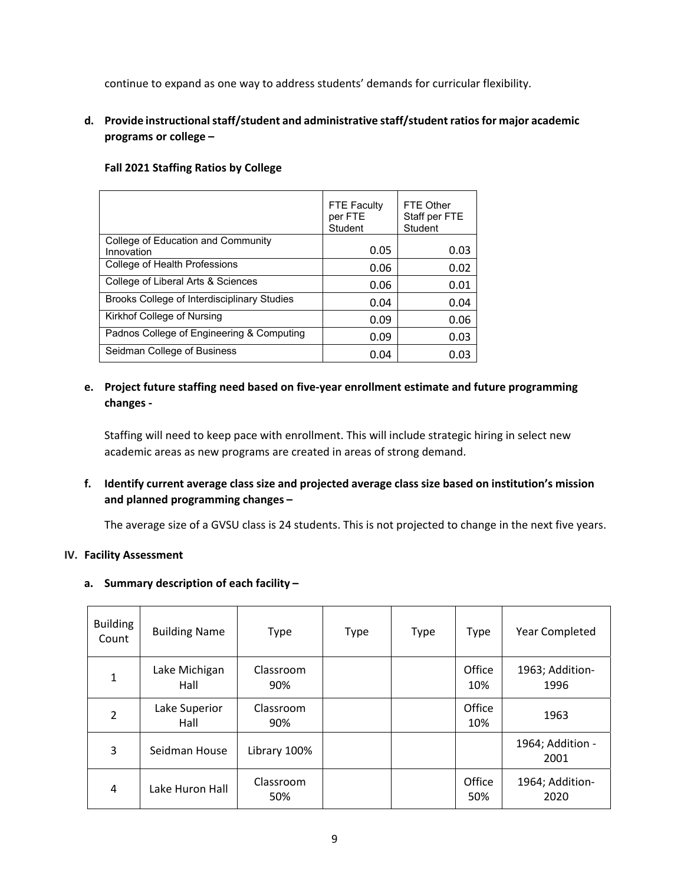continue to expand as one way to address students' demands for curricular flexibility.

# **d. Provide instructionalstaff/student and administrative staff/student ratiosfor major academic programs or college –**

|                                                  | <b>FTE Faculty</b><br>per FTE<br>Student | FTE Other<br>Staff per FTE<br>Student |
|--------------------------------------------------|------------------------------------------|---------------------------------------|
| College of Education and Community<br>Innovation | 0.05                                     | 0.03                                  |
| College of Health Professions                    | 0.06                                     | 0.02                                  |
| College of Liberal Arts & Sciences               | 0.06                                     | 0.01                                  |
| Brooks College of Interdisciplinary Studies      | 0.04                                     | 0.04                                  |
| Kirkhof College of Nursing                       | 0.09                                     | 0.06                                  |
| Padnos College of Engineering & Computing        | 0.09                                     | 0.03                                  |
| Seidman College of Business                      | 0.04                                     | 0.03                                  |

#### **Fall 2021 Staffing Ratios by College**

# **e. Project future staffing need based on five‐year enrollment estimate and future programming changes ‐**

Staffing will need to keep pace with enrollment. This will include strategic hiring in select new academic areas as new programs are created in areas of strong demand.

**f. Identify current average class size and projected average class size based on institution's mission and planned programming changes –**

The average size of a GVSU class is 24 students. This is not projected to change in the next five years.

#### **IV. Facility Assessment**

#### **a. Summary description of each facility –**

| <b>Building</b><br>Count | <b>Building Name</b>  | Type             | <b>Type</b> | <b>Type</b> | Type          | Year Completed           |
|--------------------------|-----------------------|------------------|-------------|-------------|---------------|--------------------------|
| 1                        | Lake Michigan<br>Hall | Classroom<br>90% |             |             | Office<br>10% | 1963; Addition-<br>1996  |
| $\mathcal{P}$            | Lake Superior<br>Hall | Classroom<br>90% |             |             | Office<br>10% | 1963                     |
| 3                        | Seidman House         | Library 100%     |             |             |               | 1964; Addition -<br>2001 |
| 4                        | Lake Huron Hall       | Classroom<br>50% |             |             | Office<br>50% | 1964; Addition-<br>2020  |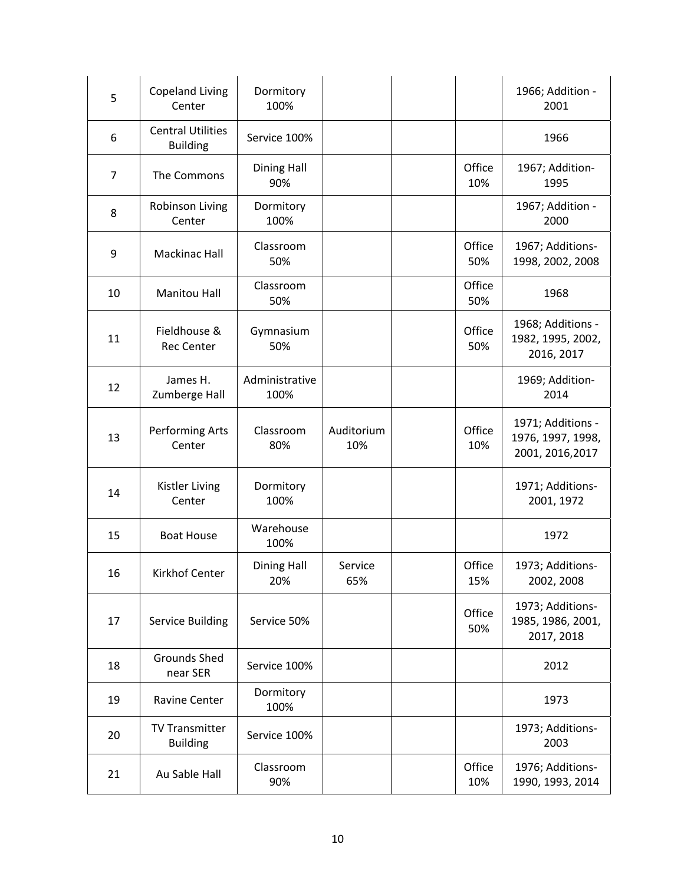| 5              | <b>Copeland Living</b><br>Center            | Dormitory<br>100%         |                   |               | 1966; Addition -<br>2001                                   |
|----------------|---------------------------------------------|---------------------------|-------------------|---------------|------------------------------------------------------------|
| 6              | <b>Central Utilities</b><br><b>Building</b> | Service 100%              |                   |               | 1966                                                       |
| $\overline{7}$ | The Commons                                 | <b>Dining Hall</b><br>90% |                   | Office<br>10% | 1967; Addition-<br>1995                                    |
| 8              | Robinson Living<br>Center                   | Dormitory<br>100%         |                   |               | 1967; Addition -<br>2000                                   |
| 9              | <b>Mackinac Hall</b>                        | Classroom<br>50%          |                   | Office<br>50% | 1967; Additions-<br>1998, 2002, 2008                       |
| 10             | <b>Manitou Hall</b>                         | Classroom<br>50%          |                   | Office<br>50% | 1968                                                       |
| 11             | Fieldhouse &<br><b>Rec Center</b>           | Gymnasium<br>50%          |                   | Office<br>50% | 1968; Additions -<br>1982, 1995, 2002,<br>2016, 2017       |
| 12             | James H.<br>Zumberge Hall                   | Administrative<br>100%    |                   |               | 1969; Addition-<br>2014                                    |
| 13             | Performing Arts<br>Center                   | Classroom<br>80%          | Auditorium<br>10% | Office<br>10% | 1971; Additions -<br>1976, 1997, 1998,<br>2001, 2016, 2017 |
| 14             | <b>Kistler Living</b><br>Center             | Dormitory<br>100%         |                   |               | 1971; Additions-<br>2001, 1972                             |
| 15             | <b>Boat House</b>                           | Warehouse<br>100%         |                   |               | 1972                                                       |
| 16             | Kirkhof Center                              | <b>Dining Hall</b><br>20% | Service<br>65%    | Office<br>15% | 1973; Additions-<br>2002, 2008                             |
| 17             | <b>Service Building</b>                     | Service 50%               |                   | Office<br>50% | 1973; Additions-<br>1985, 1986, 2001,<br>2017, 2018        |
| 18             | <b>Grounds Shed</b><br>near SER             | Service 100%              |                   |               | 2012                                                       |
| 19             | Ravine Center                               | Dormitory<br>100%         |                   |               | 1973                                                       |
| 20             | <b>TV Transmitter</b><br><b>Building</b>    | Service 100%              |                   |               | 1973; Additions-<br>2003                                   |
| 21             | Au Sable Hall                               | Classroom<br>90%          |                   | Office<br>10% | 1976; Additions-<br>1990, 1993, 2014                       |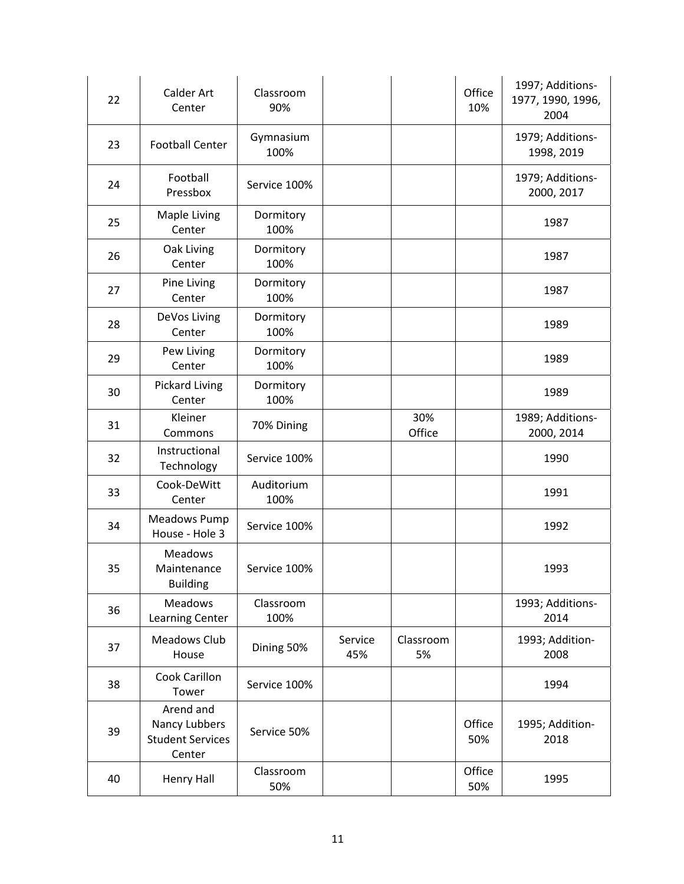| 22 | <b>Calder Art</b><br>Center                                     | Classroom<br>90%   |                |                 | Office<br>10% | 1997; Additions-<br>1977, 1990, 1996,<br>2004 |
|----|-----------------------------------------------------------------|--------------------|----------------|-----------------|---------------|-----------------------------------------------|
| 23 | <b>Football Center</b>                                          | Gymnasium<br>100%  |                |                 |               | 1979; Additions-<br>1998, 2019                |
| 24 | Football<br>Pressbox                                            | Service 100%       |                |                 |               | 1979; Additions-<br>2000, 2017                |
| 25 | Maple Living<br>Center                                          | Dormitory<br>100%  |                |                 |               | 1987                                          |
| 26 | Oak Living<br>Center                                            | Dormitory<br>100%  |                |                 |               | 1987                                          |
| 27 | Pine Living<br>Center                                           | Dormitory<br>100%  |                |                 |               | 1987                                          |
| 28 | DeVos Living<br>Center                                          | Dormitory<br>100%  |                |                 |               | 1989                                          |
| 29 | Pew Living<br>Center                                            | Dormitory<br>100%  |                |                 |               | 1989                                          |
| 30 | <b>Pickard Living</b><br>Center                                 | Dormitory<br>100%  |                |                 |               | 1989                                          |
| 31 | Kleiner<br>Commons                                              | 70% Dining         |                | 30%<br>Office   |               | 1989; Additions-<br>2000, 2014                |
| 32 | Instructional<br>Technology                                     | Service 100%       |                |                 |               | 1990                                          |
| 33 | Cook-DeWitt<br>Center                                           | Auditorium<br>100% |                |                 |               | 1991                                          |
| 34 | Meadows Pump<br>House - Hole 3                                  | Service 100%       |                |                 |               | 1992                                          |
| 35 | <b>Meadows</b><br>Maintenance<br><b>Building</b>                | Service 100%       |                |                 |               | 1993                                          |
| 36 | <b>Meadows</b><br>Learning Center                               | Classroom<br>100%  |                |                 |               | 1993; Additions-<br>2014                      |
| 37 | <b>Meadows Club</b><br>House                                    | Dining 50%         | Service<br>45% | Classroom<br>5% |               | 1993; Addition-<br>2008                       |
| 38 | Cook Carillon<br>Tower                                          | Service 100%       |                |                 |               | 1994                                          |
| 39 | Arend and<br>Nancy Lubbers<br><b>Student Services</b><br>Center | Service 50%        |                |                 | Office<br>50% | 1995; Addition-<br>2018                       |
| 40 | Henry Hall                                                      | Classroom<br>50%   |                |                 | Office<br>50% | 1995                                          |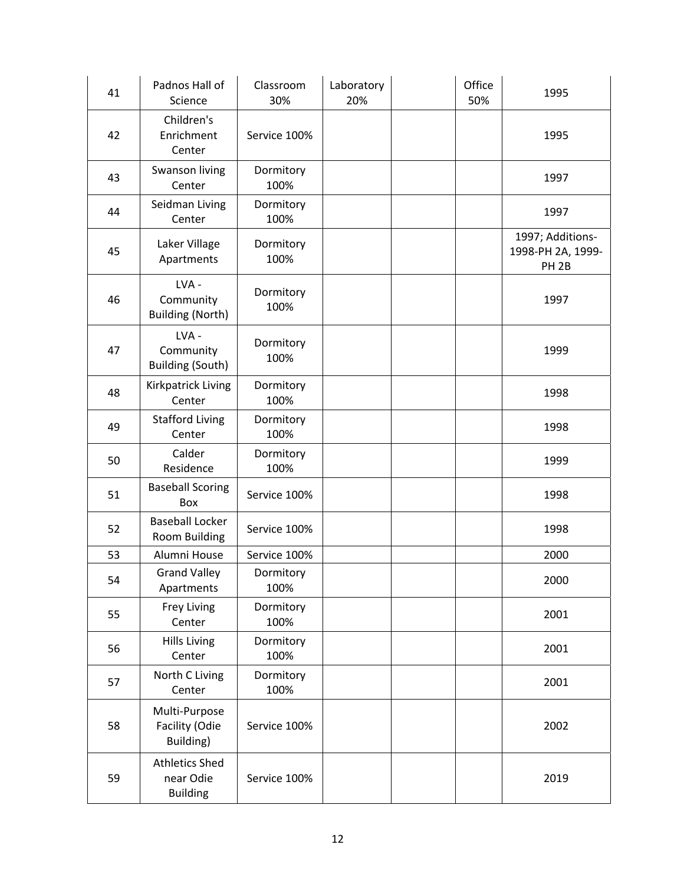| 41 | Padnos Hall of<br>Science                             | Classroom<br>30%  | Laboratory<br>20% | Office<br>50% | 1995                                                      |
|----|-------------------------------------------------------|-------------------|-------------------|---------------|-----------------------------------------------------------|
| 42 | Children's<br>Enrichment<br>Center                    | Service 100%      |                   |               | 1995                                                      |
| 43 | Swanson living<br>Center                              | Dormitory<br>100% |                   |               | 1997                                                      |
| 44 | Seidman Living<br>Center                              | Dormitory<br>100% |                   |               | 1997                                                      |
| 45 | Laker Village<br>Apartments                           | Dormitory<br>100% |                   |               | 1997; Additions-<br>1998-PH 2A, 1999-<br>PH <sub>2B</sub> |
| 46 | LVA-<br>Community<br><b>Building (North)</b>          | Dormitory<br>100% |                   |               | 1997                                                      |
| 47 | LVA-<br>Community<br><b>Building (South)</b>          | Dormitory<br>100% |                   |               | 1999                                                      |
| 48 | Kirkpatrick Living<br>Center                          | Dormitory<br>100% |                   |               | 1998                                                      |
| 49 | <b>Stafford Living</b><br>Center                      | Dormitory<br>100% |                   |               | 1998                                                      |
| 50 | Calder<br>Residence                                   | Dormitory<br>100% |                   |               | 1999                                                      |
| 51 | <b>Baseball Scoring</b><br>Box                        | Service 100%      |                   |               | 1998                                                      |
| 52 | <b>Baseball Locker</b><br>Room Building               | Service 100%      |                   |               | 1998                                                      |
| 53 | Alumni House                                          | Service 100%      |                   |               | 2000                                                      |
| 54 | <b>Grand Valley</b><br>Apartments                     | Dormitory<br>100% |                   |               | 2000                                                      |
| 55 | Frey Living<br>Center                                 | Dormitory<br>100% |                   |               | 2001                                                      |
| 56 | <b>Hills Living</b><br>Center                         | Dormitory<br>100% |                   |               | 2001                                                      |
| 57 | North C Living<br>Center                              | Dormitory<br>100% |                   |               | 2001                                                      |
| 58 | Multi-Purpose<br>Facility (Odie<br>Building)          | Service 100%      |                   |               | 2002                                                      |
| 59 | <b>Athletics Shed</b><br>near Odie<br><b>Building</b> | Service 100%      |                   |               | 2019                                                      |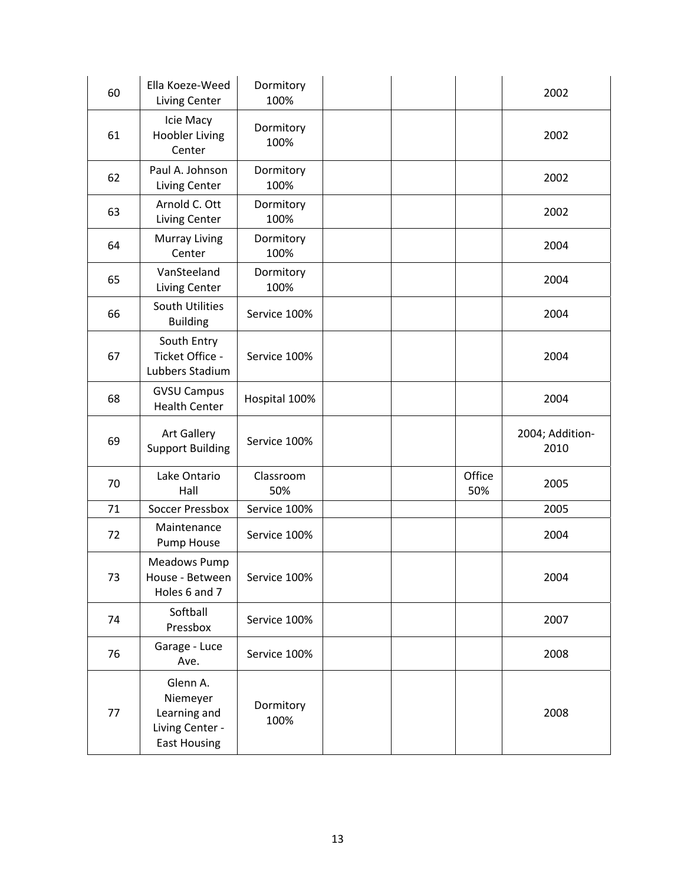| 60 | Ella Koeze-Weed<br>Living Center                  | Dormitory<br>100% |  |               | 2002            |
|----|---------------------------------------------------|-------------------|--|---------------|-----------------|
| 61 | Icie Macy<br><b>Hoobler Living</b><br>Center      | Dormitory<br>100% |  |               | 2002            |
| 62 | Paul A. Johnson<br>Living Center                  | Dormitory<br>100% |  |               | 2002            |
| 63 | Arnold C. Ott<br>Living Center                    | Dormitory<br>100% |  |               | 2002            |
| 64 | Murray Living<br>Center                           | Dormitory<br>100% |  |               | 2004            |
| 65 | VanSteeland<br>Living Center                      | Dormitory<br>100% |  |               | 2004            |
| 66 | South Utilities<br><b>Building</b>                | Service 100%      |  |               | 2004            |
| 67 | South Entry<br>Ticket Office -<br>Lubbers Stadium | Service 100%      |  |               | 2004            |
| 68 | <b>GVSU Campus</b><br><b>Health Center</b>        | Hospital 100%     |  |               | 2004            |
|    | <b>Art Gallery</b>                                |                   |  |               | 2004; Addition- |
| 69 | <b>Support Building</b>                           | Service 100%      |  |               | 2010            |
| 70 | Lake Ontario<br>Hall                              | Classroom<br>50%  |  | Office<br>50% | 2005            |
| 71 | <b>Soccer Pressbox</b>                            | Service 100%      |  |               | 2005            |
| 72 | Maintenance<br>Pump House                         | Service 100%      |  |               | 2004            |
| 73 | Meadows Pump<br>House - Between<br>Holes 6 and 7  | Service 100%      |  |               | 2004            |
| 74 | Softball<br>Pressbox                              | Service 100%      |  |               | 2007            |
| 76 | Garage - Luce<br>Ave.                             | Service 100%      |  |               | 2008            |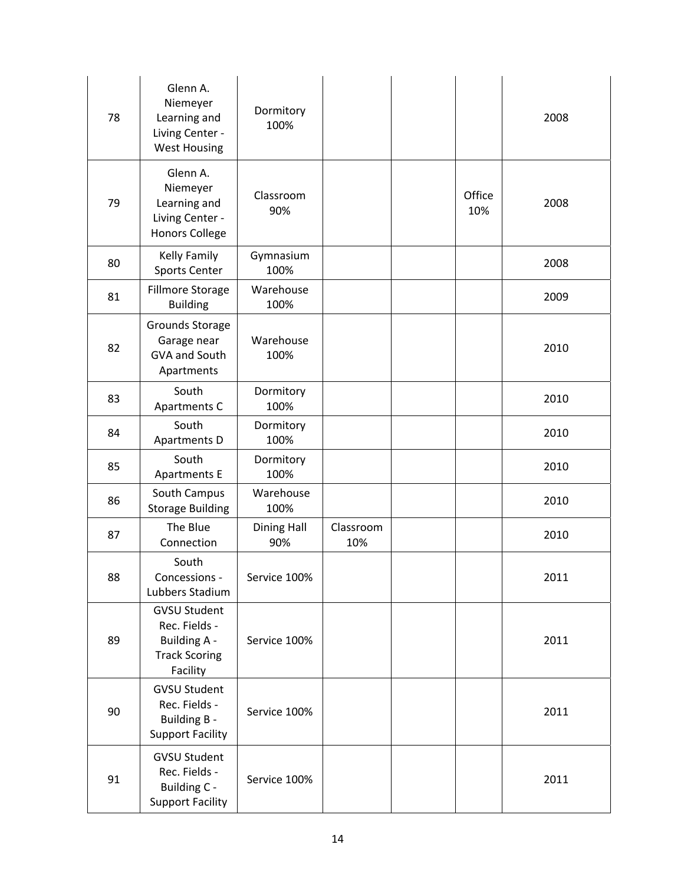| 78 | Glenn A.<br>Niemeyer<br>Learning and<br>Living Center -<br><b>West Housing</b>                  | Dormitory<br>100%         |                  |               | 2008 |
|----|-------------------------------------------------------------------------------------------------|---------------------------|------------------|---------------|------|
| 79 | Glenn A.<br>Niemeyer<br>Learning and<br>Living Center -<br><b>Honors College</b>                | Classroom<br>90%          |                  | Office<br>10% | 2008 |
| 80 | <b>Kelly Family</b><br><b>Sports Center</b>                                                     | Gymnasium<br>100%         |                  |               | 2008 |
| 81 | Fillmore Storage<br><b>Building</b>                                                             | Warehouse<br>100%         |                  |               | 2009 |
| 82 | Grounds Storage<br>Garage near<br>GVA and South<br>Apartments                                   | Warehouse<br>100%         |                  |               | 2010 |
| 83 | South<br>Apartments C                                                                           | Dormitory<br>100%         |                  |               | 2010 |
| 84 | South<br>Apartments D                                                                           | Dormitory<br>100%         |                  |               | 2010 |
| 85 | South<br><b>Apartments E</b>                                                                    | Dormitory<br>100%         |                  |               | 2010 |
| 86 | South Campus<br><b>Storage Building</b>                                                         | Warehouse<br>100%         |                  |               | 2010 |
| 87 | The Blue<br>Connection                                                                          | <b>Dining Hall</b><br>90% | Classroom<br>10% |               | 2010 |
| 88 | South<br>Concessions -<br>Lubbers Stadium                                                       | Service 100%              |                  |               | 2011 |
| 89 | <b>GVSU Student</b><br>Rec. Fields -<br><b>Building A -</b><br><b>Track Scoring</b><br>Facility | Service 100%              |                  |               | 2011 |
| 90 | <b>GVSU Student</b><br>Rec. Fields -<br>Building B -<br><b>Support Facility</b>                 | Service 100%              |                  |               | 2011 |
| 91 | <b>GVSU Student</b><br>Rec. Fields -<br>Building C -<br><b>Support Facility</b>                 | Service 100%              |                  |               | 2011 |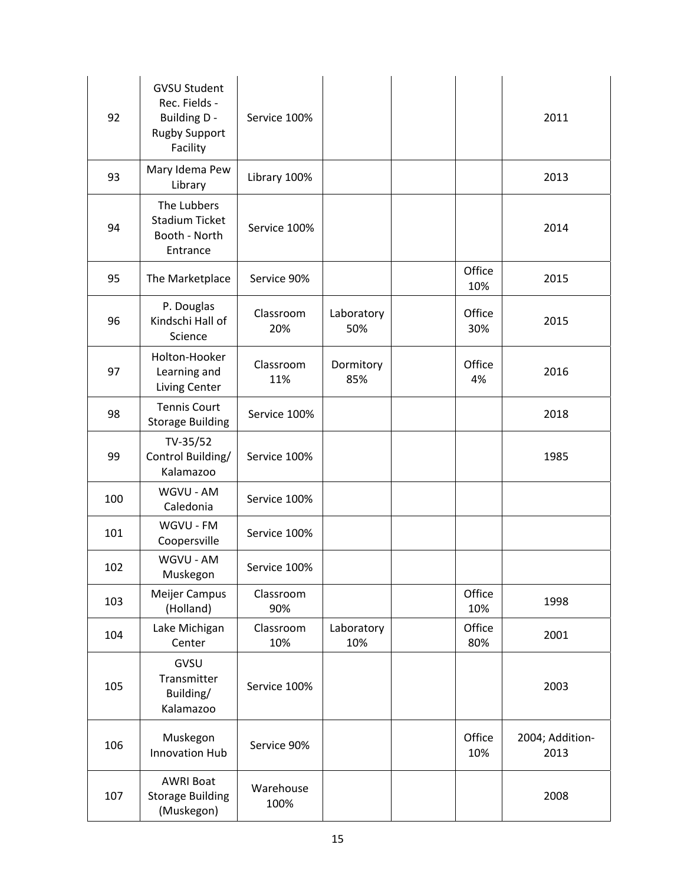| 92  | <b>GVSU Student</b><br>Rec. Fields -<br><b>Building D -</b><br><b>Rugby Support</b><br>Facility | Service 100%      |                   |               | 2011                    |
|-----|-------------------------------------------------------------------------------------------------|-------------------|-------------------|---------------|-------------------------|
| 93  | Mary Idema Pew<br>Library                                                                       | Library 100%      |                   |               | 2013                    |
| 94  | The Lubbers<br><b>Stadium Ticket</b><br>Booth - North<br>Entrance                               | Service 100%      |                   |               | 2014                    |
| 95  | The Marketplace                                                                                 | Service 90%       |                   | Office<br>10% | 2015                    |
| 96  | P. Douglas<br>Kindschi Hall of<br>Science                                                       | Classroom<br>20%  | Laboratory<br>50% | Office<br>30% | 2015                    |
| 97  | Holton-Hooker<br>Learning and<br>Living Center                                                  | Classroom<br>11%  | Dormitory<br>85%  | Office<br>4%  | 2016                    |
| 98  | <b>Tennis Court</b><br><b>Storage Building</b>                                                  | Service 100%      |                   |               | 2018                    |
| 99  | TV-35/52<br>Control Building/<br>Kalamazoo                                                      | Service 100%      |                   |               | 1985                    |
| 100 | WGVU - AM<br>Caledonia                                                                          | Service 100%      |                   |               |                         |
| 101 | WGVU - FM<br>Coopersville                                                                       | Service 100%      |                   |               |                         |
| 102 | WGVU - AM<br>Muskegon                                                                           | Service 100%      |                   |               |                         |
| 103 | Meijer Campus<br>(Holland)                                                                      | Classroom<br>90%  |                   | Office<br>10% | 1998                    |
| 104 | Lake Michigan<br>Center                                                                         | Classroom<br>10%  | Laboratory<br>10% | Office<br>80% | 2001                    |
| 105 | GVSU<br>Transmitter<br>Building/<br>Kalamazoo                                                   | Service 100%      |                   |               | 2003                    |
| 106 | Muskegon<br>Innovation Hub                                                                      | Service 90%       |                   | Office<br>10% | 2004; Addition-<br>2013 |
| 107 | <b>AWRI Boat</b><br><b>Storage Building</b><br>(Muskegon)                                       | Warehouse<br>100% |                   |               | 2008                    |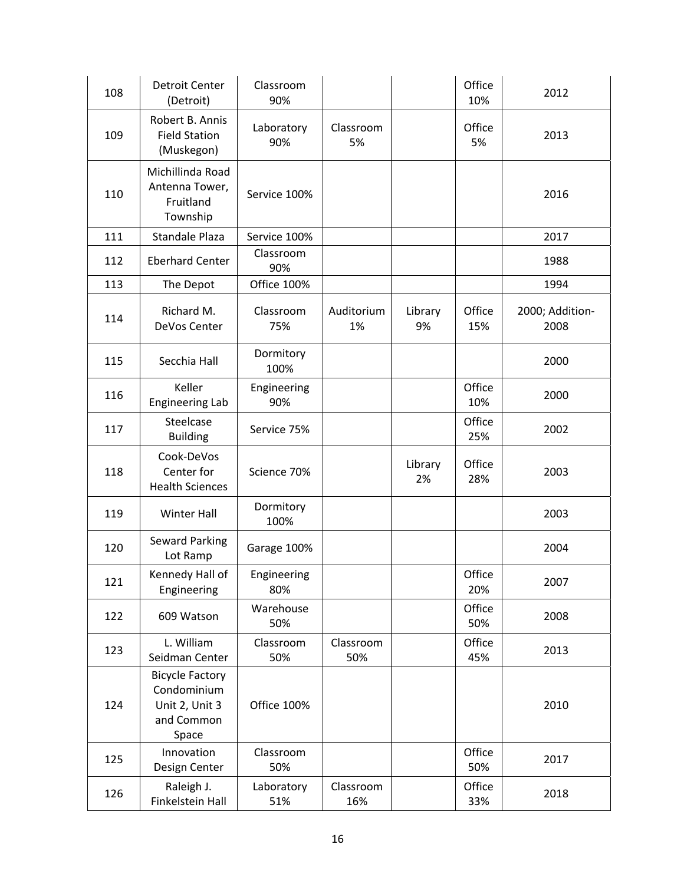| 108 | <b>Detroit Center</b><br>(Detroit)                                             | Classroom<br>90%   |                  |               | Office<br>10% | 2012                    |
|-----|--------------------------------------------------------------------------------|--------------------|------------------|---------------|---------------|-------------------------|
| 109 | Robert B. Annis<br><b>Field Station</b><br>(Muskegon)                          | Laboratory<br>90%  | Classroom<br>5%  |               | Office<br>5%  | 2013                    |
| 110 | Michillinda Road<br>Antenna Tower,<br>Fruitland<br>Township                    | Service 100%       |                  |               |               | 2016                    |
| 111 | Standale Plaza                                                                 | Service 100%       |                  |               |               | 2017                    |
| 112 | <b>Eberhard Center</b>                                                         | Classroom<br>90%   |                  |               |               | 1988                    |
| 113 | The Depot                                                                      | Office 100%        |                  |               |               | 1994                    |
| 114 | Richard M.<br>DeVos Center                                                     | Classroom<br>75%   | Auditorium<br>1% | Library<br>9% | Office<br>15% | 2000; Addition-<br>2008 |
| 115 | Secchia Hall                                                                   | Dormitory<br>100%  |                  |               |               | 2000                    |
| 116 | Keller<br><b>Engineering Lab</b>                                               | Engineering<br>90% |                  |               | Office<br>10% | 2000                    |
| 117 | Steelcase<br><b>Building</b>                                                   | Service 75%        |                  |               | Office<br>25% | 2002                    |
| 118 | Cook-DeVos<br>Center for<br><b>Health Sciences</b>                             | Science 70%        |                  | Library<br>2% | Office<br>28% | 2003                    |
| 119 | <b>Winter Hall</b>                                                             | Dormitory<br>100%  |                  |               |               | 2003                    |
| 120 | <b>Seward Parking</b><br>Lot Ramp                                              | Garage 100%        |                  |               |               | 2004                    |
| 121 | Kennedy Hall of<br>Engineering                                                 | Engineering<br>80% |                  |               | Office<br>20% | 2007                    |
| 122 | 609 Watson                                                                     | Warehouse<br>50%   |                  |               | Office<br>50% | 2008                    |
| 123 | L. William<br>Seidman Center                                                   | Classroom<br>50%   | Classroom<br>50% |               | Office<br>45% | 2013                    |
| 124 | <b>Bicycle Factory</b><br>Condominium<br>Unit 2, Unit 3<br>and Common<br>Space | Office 100%        |                  |               |               | 2010                    |
| 125 | Innovation<br>Design Center                                                    | Classroom<br>50%   |                  |               | Office<br>50% | 2017                    |
| 126 | Raleigh J.<br>Finkelstein Hall                                                 | Laboratory<br>51%  | Classroom<br>16% |               | Office<br>33% | 2018                    |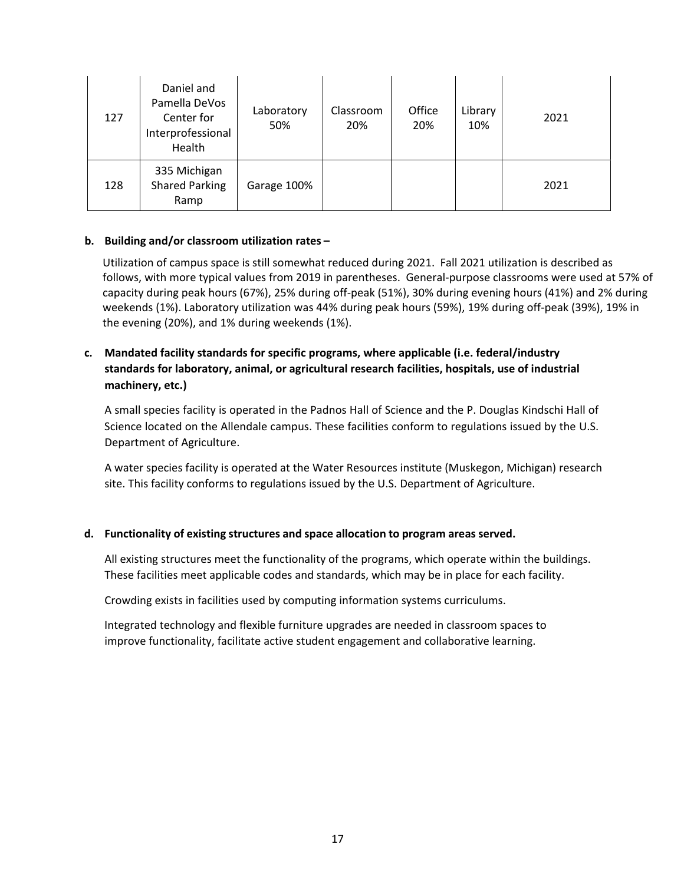| 127 | Daniel and<br>Pamella DeVos<br>Center for<br>Interprofessional<br>Health | Laboratory<br>50% | Classroom<br>20% | Office<br>20% | Library<br>10% | 2021 |
|-----|--------------------------------------------------------------------------|-------------------|------------------|---------------|----------------|------|
| 128 | 335 Michigan<br><b>Shared Parking</b><br>Ramp                            | Garage 100%       |                  |               |                | 2021 |

#### **b. Building and/or classroom utilization rates –**

Utilization of campus space is still somewhat reduced during 2021. Fall 2021 utilization is described as follows, with more typical values from 2019 in parentheses. General-purpose classrooms were used at 57% of capacity during peak hours (67%), 25% during off‐peak (51%), 30% during evening hours (41%) and 2% during weekends (1%). Laboratory utilization was 44% during peak hours (59%), 19% during off‐peak (39%), 19% in the evening (20%), and 1% during weekends (1%).

# **c. Mandated facility standards for specific programs, where applicable (i.e. federal/industry standards for laboratory, animal, or agricultural research facilities, hospitals, use of industrial machinery, etc.)**

A small species facility is operated in the Padnos Hall of Science and the P. Douglas Kindschi Hall of Science located on the Allendale campus. These facilities conform to regulations issued by the U.S. Department of Agriculture.

A water species facility is operated at the Water Resources institute (Muskegon, Michigan) research site. This facility conforms to regulations issued by the U.S. Department of Agriculture.

# **d. Functionality of existing structures and space allocation to program areas served.**

All existing structures meet the functionality of the programs, which operate within the buildings. These facilities meet applicable codes and standards, which may be in place for each facility.

Crowding exists in facilities used by computing information systems curriculums.

Integrated technology and flexible furniture upgrades are needed in classroom spaces to improve functionality, facilitate active student engagement and collaborative learning.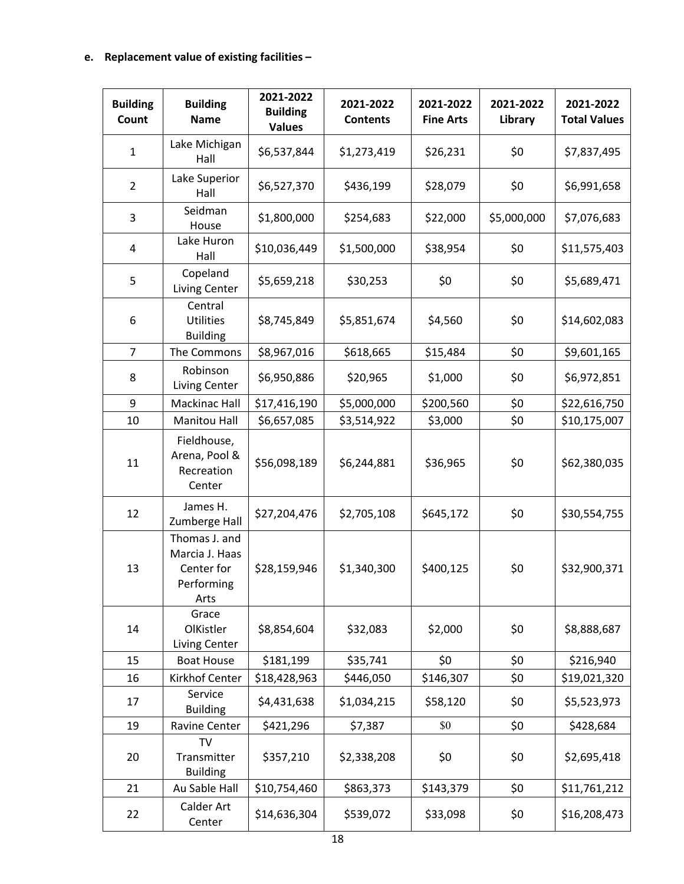# **e. Replacement value of existing facilities –**

| <b>Building</b><br>Count | <b>Building</b><br><b>Name</b>                                      | 2021-2022<br><b>Building</b><br><b>Values</b> | 2021-2022<br><b>Contents</b> | 2021-2022<br><b>Fine Arts</b> | 2021-2022<br>Library | 2021-2022<br><b>Total Values</b> |
|--------------------------|---------------------------------------------------------------------|-----------------------------------------------|------------------------------|-------------------------------|----------------------|----------------------------------|
| 1                        | Lake Michigan<br>Hall                                               | \$6,537,844                                   | \$1,273,419                  | \$26,231                      | \$0                  | \$7,837,495                      |
| $\overline{2}$           | Lake Superior<br>Hall                                               | \$6,527,370                                   | \$436,199                    | \$28,079                      | \$0                  | \$6,991,658                      |
| 3                        | Seidman<br>House                                                    | \$1,800,000                                   | \$254,683                    | \$22,000                      | \$5,000,000          | \$7,076,683                      |
| 4                        | Lake Huron<br>Hall                                                  | \$10,036,449                                  | \$1,500,000                  | \$38,954                      | \$0                  | \$11,575,403                     |
| 5                        | Copeland<br>Living Center                                           | \$5,659,218                                   | \$30,253                     | \$0                           | \$0                  | \$5,689,471                      |
| 6                        | Central<br><b>Utilities</b><br><b>Building</b>                      | \$8,745,849                                   | \$5,851,674                  | \$4,560                       | \$0                  | \$14,602,083                     |
| $\overline{7}$           | The Commons                                                         | \$8,967,016                                   | \$618,665                    | \$15,484                      | \$0                  | \$9,601,165                      |
| 8                        | Robinson<br>Living Center                                           | \$6,950,886                                   | \$20,965                     | \$1,000                       | \$0                  | \$6,972,851                      |
| 9                        | <b>Mackinac Hall</b>                                                | \$17,416,190                                  | \$5,000,000                  | \$200,560                     | \$0                  | \$22,616,750                     |
| 10                       | <b>Manitou Hall</b>                                                 | \$6,657,085                                   | \$3,514,922                  | \$3,000                       | \$0                  | \$10,175,007                     |
| 11                       | Fieldhouse,<br>Arena, Pool &<br>Recreation<br>Center                | \$56,098,189                                  | \$6,244,881                  | \$36,965                      | \$0                  | \$62,380,035                     |
| 12                       | James H.<br>Zumberge Hall                                           | \$27,204,476                                  | \$2,705,108                  | \$645,172                     | \$0                  | \$30,554,755                     |
| 13                       | Thomas J. and<br>Marcia J. Haas<br>Center for<br>Performing<br>Arts | \$28,159,946                                  | \$1,340,300                  | \$400,125                     | \$0                  | \$32,900,371                     |
| 14                       | Grace<br>OlKistler<br>Living Center                                 | \$8,854,604                                   | \$32,083                     | \$2,000                       | \$0                  | \$8,888,687                      |
| 15                       | <b>Boat House</b>                                                   | \$181,199                                     | \$35,741                     | \$0                           | \$0                  | \$216,940                        |
| 16                       | Kirkhof Center                                                      | \$18,428,963                                  | \$446,050                    | \$146,307                     | \$0                  | \$19,021,320                     |
| 17                       | Service<br><b>Building</b>                                          | \$4,431,638                                   | \$1,034,215                  | \$58,120                      | \$0                  | \$5,523,973                      |
| 19                       | Ravine Center                                                       | \$421,296                                     | \$7,387                      | \$0                           | \$0                  | \$428,684                        |
| 20                       | TV<br>Transmitter<br><b>Building</b>                                | \$357,210                                     | \$2,338,208                  | \$0                           | \$0                  | \$2,695,418                      |
| 21                       | Au Sable Hall                                                       | \$10,754,460                                  | \$863,373                    | \$143,379                     | \$0                  | \$11,761,212                     |
| 22                       | Calder Art<br>Center                                                | \$14,636,304                                  | \$539,072                    | \$33,098                      | \$0                  | \$16,208,473                     |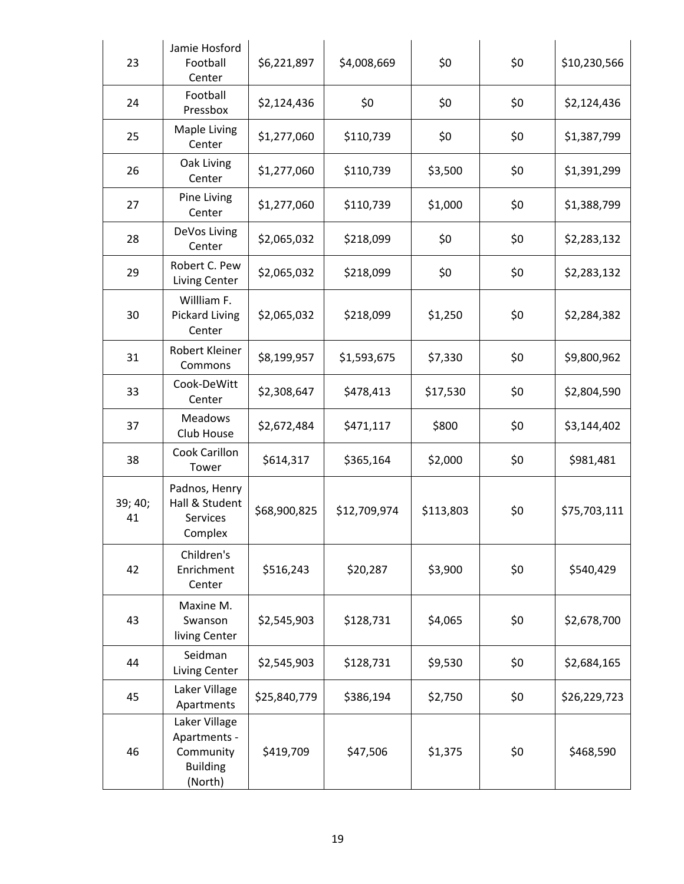| 23            | Jamie Hosford<br>Football<br>Center                                      | \$6,221,897  | \$4,008,669  | \$0       | \$0 | \$10,230,566 |
|---------------|--------------------------------------------------------------------------|--------------|--------------|-----------|-----|--------------|
| 24            | Football<br>Pressbox                                                     | \$2,124,436  | \$0          | \$0       | \$0 | \$2,124,436  |
| 25            | Maple Living<br>Center                                                   | \$1,277,060  | \$110,739    | \$0       | \$0 | \$1,387,799  |
| 26            | Oak Living<br>Center                                                     | \$1,277,060  | \$110,739    | \$3,500   | \$0 | \$1,391,299  |
| 27            | Pine Living<br>Center                                                    | \$1,277,060  | \$110,739    | \$1,000   | \$0 | \$1,388,799  |
| 28            | DeVos Living<br>Center                                                   | \$2,065,032  | \$218,099    | \$0       | \$0 | \$2,283,132  |
| 29            | Robert C. Pew<br>Living Center                                           | \$2,065,032  | \$218,099    | \$0       | \$0 | \$2,283,132  |
| 30            | Willliam F.<br><b>Pickard Living</b><br>Center                           | \$2,065,032  | \$218,099    | \$1,250   | \$0 | \$2,284,382  |
| 31            | Robert Kleiner<br>Commons                                                | \$8,199,957  | \$1,593,675  | \$7,330   | \$0 | \$9,800,962  |
| 33            | Cook-DeWitt<br>Center                                                    | \$2,308,647  | \$478,413    | \$17,530  | \$0 | \$2,804,590  |
| 37            | <b>Meadows</b><br>Club House                                             | \$2,672,484  | \$471,117    | \$800     | \$0 | \$3,144,402  |
| 38            | Cook Carillon<br>Tower                                                   | \$614,317    | \$365,164    | \$2,000   | \$0 | \$981,481    |
| 39; 40;<br>41 | Padnos, Henry<br>Hall & Student<br>Services<br>Complex                   | \$68,900,825 | \$12,709,974 | \$113,803 | \$0 | \$75,703,111 |
| 42            | Children's<br>Enrichment<br>Center                                       | \$516,243    | \$20,287     | \$3,900   | \$0 | \$540,429    |
| 43            | Maxine M.<br>Swanson<br>living Center                                    | \$2,545,903  | \$128,731    | \$4,065   | \$0 | \$2,678,700  |
| 44            | Seidman<br>Living Center                                                 | \$2,545,903  | \$128,731    | \$9,530   | \$0 | \$2,684,165  |
| 45            | Laker Village<br>Apartments                                              | \$25,840,779 | \$386,194    | \$2,750   | \$0 | \$26,229,723 |
| 46            | Laker Village<br>Apartments -<br>Community<br><b>Building</b><br>(North) | \$419,709    | \$47,506     | \$1,375   | \$0 | \$468,590    |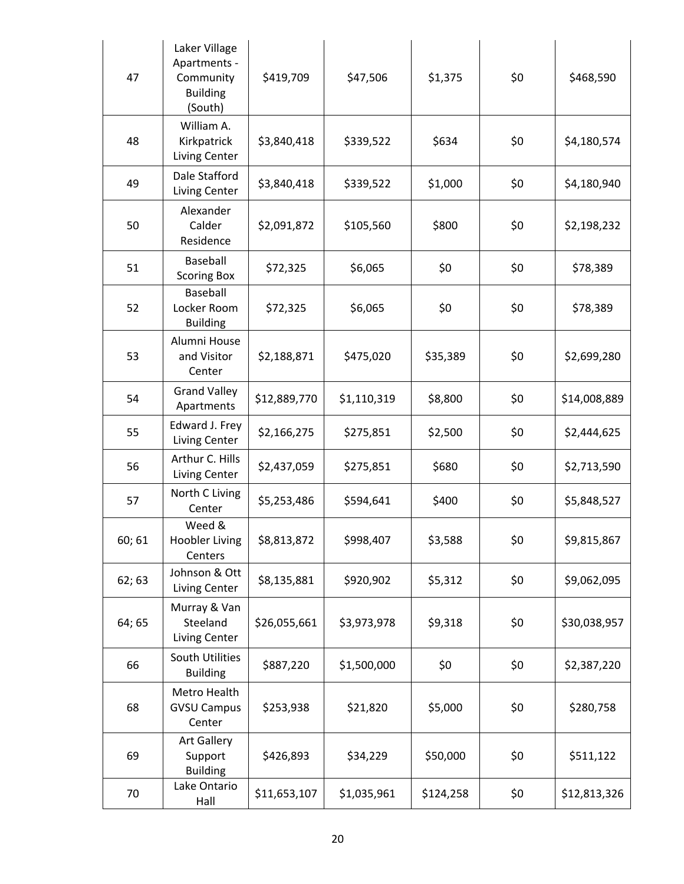| 47     | Laker Village<br>Apartments -<br>Community<br><b>Building</b><br>(South) | \$419,709    | \$47,506    | \$1,375   | \$0 | \$468,590    |
|--------|--------------------------------------------------------------------------|--------------|-------------|-----------|-----|--------------|
| 48     | William A.<br>Kirkpatrick<br>Living Center                               | \$3,840,418  | \$339,522   | \$634     | \$0 | \$4,180,574  |
| 49     | Dale Stafford<br>Living Center                                           | \$3,840,418  | \$339,522   | \$1,000   | \$0 | \$4,180,940  |
| 50     | Alexander<br>Calder<br>Residence                                         | \$2,091,872  | \$105,560   | \$800     | \$0 | \$2,198,232  |
| 51     | Baseball<br><b>Scoring Box</b>                                           | \$72,325     | \$6,065     | \$0       | \$0 | \$78,389     |
| 52     | Baseball<br>Locker Room<br><b>Building</b>                               | \$72,325     | \$6,065     | \$0       | \$0 | \$78,389     |
| 53     | Alumni House<br>and Visitor<br>Center                                    | \$2,188,871  | \$475,020   | \$35,389  | \$0 | \$2,699,280  |
| 54     | <b>Grand Valley</b><br>Apartments                                        | \$12,889,770 | \$1,110,319 | \$8,800   | \$0 | \$14,008,889 |
| 55     | Edward J. Frey<br>Living Center                                          | \$2,166,275  | \$275,851   | \$2,500   | \$0 | \$2,444,625  |
| 56     | Arthur C. Hills<br>Living Center                                         | \$2,437,059  | \$275,851   | \$680     | \$0 | \$2,713,590  |
| 57     | North C Living<br>Center                                                 | \$5,253,486  | \$594,641   | \$400     | \$0 | \$5,848,527  |
| 60; 61 | Weed &<br><b>Hoobler Living</b><br>Centers                               | \$8,813,872  | \$998,407   | \$3,588   | \$0 | \$9,815,867  |
| 62; 63 | Johnson & Ott<br>Living Center                                           | \$8,135,881  | \$920,902   | \$5,312   | \$0 | \$9,062,095  |
| 64; 65 | Murray & Van<br>Steeland<br>Living Center                                | \$26,055,661 | \$3,973,978 | \$9,318   | \$0 | \$30,038,957 |
| 66     | South Utilities<br><b>Building</b>                                       | \$887,220    | \$1,500,000 | \$0       | \$0 | \$2,387,220  |
| 68     | Metro Health<br><b>GVSU Campus</b><br>Center                             | \$253,938    | \$21,820    | \$5,000   | \$0 | \$280,758    |
| 69     | <b>Art Gallery</b><br>Support<br><b>Building</b>                         | \$426,893    | \$34,229    | \$50,000  | \$0 | \$511,122    |
| 70     | Lake Ontario<br>Hall                                                     | \$11,653,107 | \$1,035,961 | \$124,258 | \$0 | \$12,813,326 |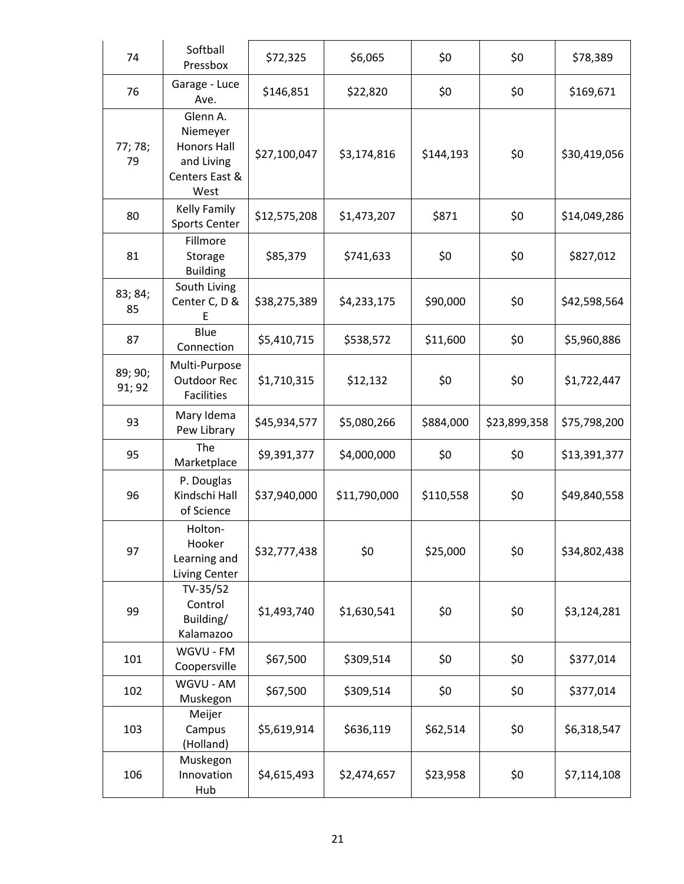| 74                | Softball<br>Pressbox                                                               | \$72,325     | \$6,065      | \$0       | \$0          | \$78,389     |
|-------------------|------------------------------------------------------------------------------------|--------------|--------------|-----------|--------------|--------------|
| 76                | Garage - Luce<br>Ave.                                                              | \$146,851    | \$22,820     | \$0       | \$0          | \$169,671    |
| 77; 78;<br>79     | Glenn A.<br>Niemeyer<br><b>Honors Hall</b><br>and Living<br>Centers East &<br>West | \$27,100,047 | \$3,174,816  | \$144,193 | \$0          | \$30,419,056 |
| 80                | Kelly Family<br><b>Sports Center</b>                                               | \$12,575,208 | \$1,473,207  | \$871     | \$0          | \$14,049,286 |
| 81                | Fillmore<br>Storage<br><b>Building</b>                                             | \$85,379     | \$741,633    | \$0       | \$0          | \$827,012    |
| 83; 84;<br>85     | South Living<br>Center C, D &<br>F                                                 | \$38,275,389 | \$4,233,175  | \$90,000  | \$0          | \$42,598,564 |
| 87                | Blue<br>Connection                                                                 | \$5,410,715  | \$538,572    | \$11,600  | \$0          | \$5,960,886  |
| 89; 90;<br>91; 92 | Multi-Purpose<br>Outdoor Rec<br><b>Facilities</b>                                  | \$1,710,315  | \$12,132     | \$0       | \$0          | \$1,722,447  |
| 93                | Mary Idema<br>Pew Library                                                          | \$45,934,577 | \$5,080,266  | \$884,000 | \$23,899,358 | \$75,798,200 |
| 95                | The<br>Marketplace                                                                 | \$9,391,377  | \$4,000,000  | \$0       | \$0          | \$13,391,377 |
| 96                | P. Douglas<br>Kindschi Hall<br>of Science                                          | \$37,940,000 | \$11,790,000 | \$110,558 | \$0          | \$49,840,558 |
| 97                | Holton-<br>Hooker<br>Learning and<br>Living Center                                 | \$32,777,438 | \$0          | \$25,000  | \$0          | \$34,802,438 |
| 99                | TV-35/52<br>Control<br>Building/<br>Kalamazoo                                      | \$1,493,740  | \$1,630,541  | \$0       | \$0          | \$3,124,281  |
| 101               | WGVU - FM<br>Coopersville                                                          | \$67,500     | \$309,514    | \$0       | \$0          | \$377,014    |
| 102               | WGVU - AM<br>Muskegon                                                              | \$67,500     | \$309,514    | \$0       | \$0          | \$377,014    |
| 103               | Meijer<br>Campus<br>(Holland)                                                      | \$5,619,914  | \$636,119    | \$62,514  | \$0          | \$6,318,547  |
| 106               | Muskegon<br>Innovation<br>Hub                                                      | \$4,615,493  | \$2,474,657  | \$23,958  | \$0          | \$7,114,108  |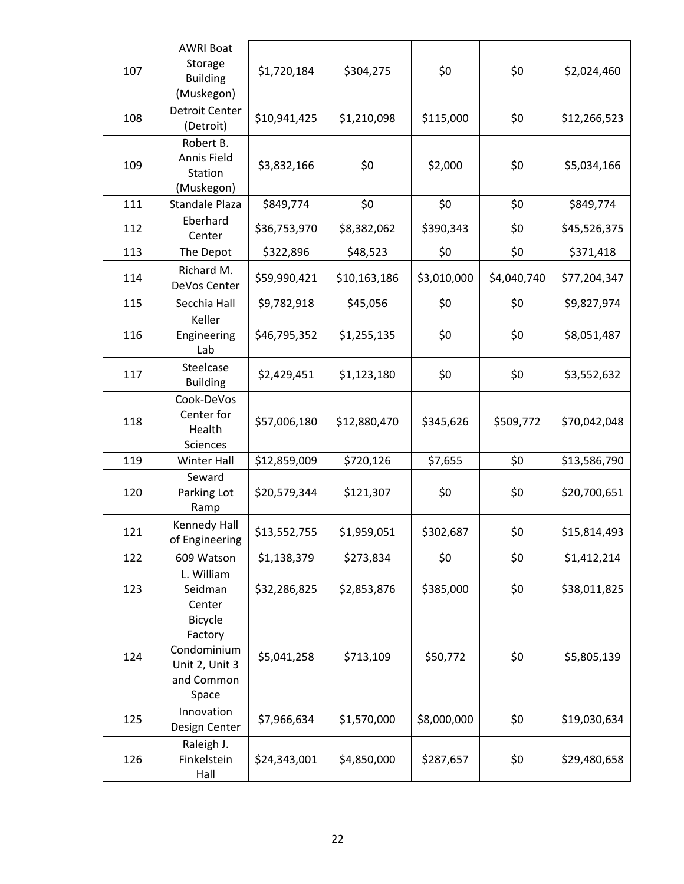| 107 | <b>AWRI Boat</b><br>Storage<br><b>Building</b><br>(Muskegon)               | \$1,720,184  | \$304,275    | \$0         | \$0         | \$2,024,460  |
|-----|----------------------------------------------------------------------------|--------------|--------------|-------------|-------------|--------------|
| 108 | <b>Detroit Center</b><br>(Detroit)                                         | \$10,941,425 | \$1,210,098  | \$115,000   | \$0         | \$12,266,523 |
| 109 | Robert B.<br>Annis Field<br>Station<br>(Muskegon)                          | \$3,832,166  | \$0          | \$2,000     | \$0         | \$5,034,166  |
| 111 | Standale Plaza                                                             | \$849,774    | \$0          | \$0         | \$0         | \$849,774    |
| 112 | Eberhard<br>Center                                                         | \$36,753,970 | \$8,382,062  | \$390,343   | \$0         | \$45,526,375 |
| 113 | The Depot                                                                  | \$322,896    | \$48,523     | \$0         | \$0         | \$371,418    |
| 114 | Richard M.<br>DeVos Center                                                 | \$59,990,421 | \$10,163,186 | \$3,010,000 | \$4,040,740 | \$77,204,347 |
| 115 | Secchia Hall                                                               | \$9,782,918  | \$45,056     | \$0         | \$0         | \$9,827,974  |
| 116 | Keller<br>Engineering<br>Lab                                               | \$46,795,352 | \$1,255,135  | \$0         | \$0         | \$8,051,487  |
| 117 | Steelcase<br><b>Building</b>                                               | \$2,429,451  | \$1,123,180  | \$0         | \$0         | \$3,552,632  |
| 118 | Cook-DeVos<br>Center for<br>Health<br>Sciences                             | \$57,006,180 | \$12,880,470 | \$345,626   | \$509,772   | \$70,042,048 |
| 119 | Winter Hall                                                                | \$12,859,009 | \$720,126    | \$7,655     | \$0         | \$13,586,790 |
| 120 | Seward<br>Parking Lot<br>Ramp                                              | \$20,579,344 | \$121,307    | \$0         | \$0         | \$20,700,651 |
| 121 | Kennedy Hall<br>of Engineering                                             | \$13,552,755 | \$1,959,051  | \$302,687   | \$0         | \$15,814,493 |
| 122 | 609 Watson                                                                 | \$1,138,379  | \$273,834    | \$0         | \$0         | \$1,412,214  |
| 123 | L. William<br>Seidman<br>Center                                            | \$32,286,825 | \$2,853,876  | \$385,000   | \$0         | \$38,011,825 |
| 124 | Bicycle<br>Factory<br>Condominium<br>Unit 2, Unit 3<br>and Common<br>Space | \$5,041,258  | \$713,109    | \$50,772    | \$0         | \$5,805,139  |
| 125 | Innovation<br>Design Center                                                | \$7,966,634  | \$1,570,000  | \$8,000,000 | \$0         | \$19,030,634 |
| 126 | Raleigh J.<br>Finkelstein<br>Hall                                          | \$24,343,001 | \$4,850,000  | \$287,657   | \$0         | \$29,480,658 |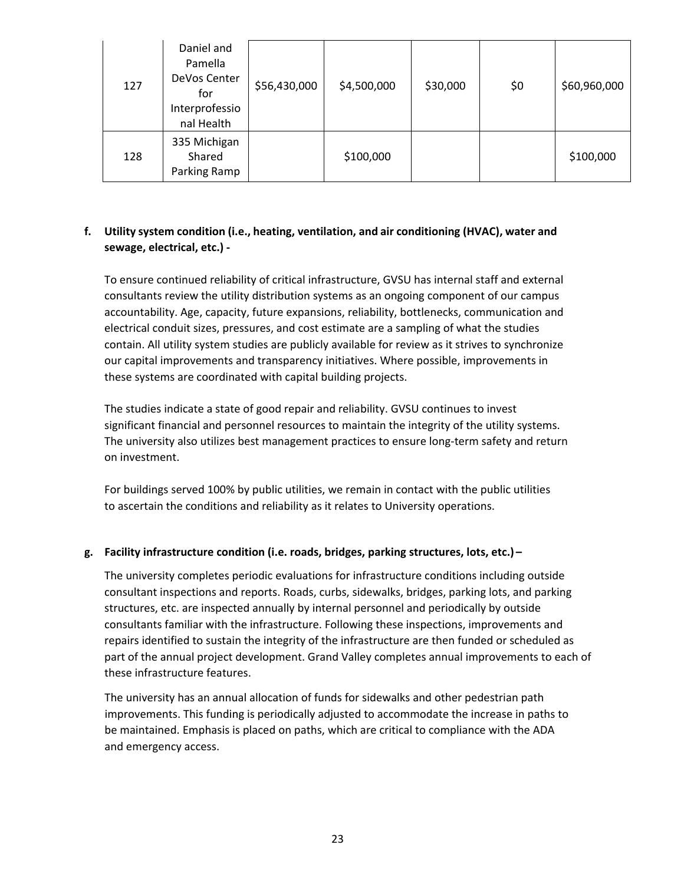| 127 | Daniel and<br>Pamella<br>DeVos Center<br>for<br>Interprofessio<br>nal Health | \$56,430,000 | \$4,500,000 | \$30,000 | \$0 | \$60,960,000 |
|-----|------------------------------------------------------------------------------|--------------|-------------|----------|-----|--------------|
| 128 | 335 Michigan<br>Shared<br>Parking Ramp                                       |              | \$100,000   |          |     | \$100,000    |

# **f. Utility system condition (i.e., heating, ventilation, and air conditioning (HVAC), water and sewage, electrical, etc.) ‐**

To ensure continued reliability of critical infrastructure, GVSU has internal staff and external consultants review the utility distribution systems as an ongoing component of our campus accountability. Age, capacity, future expansions, reliability, bottlenecks, communication and electrical conduit sizes, pressures, and cost estimate are a sampling of what the studies contain. All utility system studies are publicly available for review as it strives to synchronize our capital improvements and transparency initiatives. Where possible, improvements in these systems are coordinated with capital building projects.

The studies indicate a state of good repair and reliability. GVSU continues to invest significant financial and personnel resources to maintain the integrity of the utility systems. The university also utilizes best management practices to ensure long‐term safety and return on investment.

For buildings served 100% by public utilities, we remain in contact with the public utilities to ascertain the conditions and reliability as it relates to University operations.

# **g. Facility infrastructure condition (i.e. roads, bridges, parking structures, lots, etc.) –**

The university completes periodic evaluations for infrastructure conditions including outside consultant inspections and reports. Roads, curbs, sidewalks, bridges, parking lots, and parking structures, etc. are inspected annually by internal personnel and periodically by outside consultants familiar with the infrastructure. Following these inspections, improvements and repairs identified to sustain the integrity of the infrastructure are then funded or scheduled as part of the annual project development. Grand Valley completes annual improvements to each of these infrastructure features.

The university has an annual allocation of funds for sidewalks and other pedestrian path improvements. This funding is periodically adjusted to accommodate the increase in paths to be maintained. Emphasis is placed on paths, which are critical to compliance with the ADA and emergency access.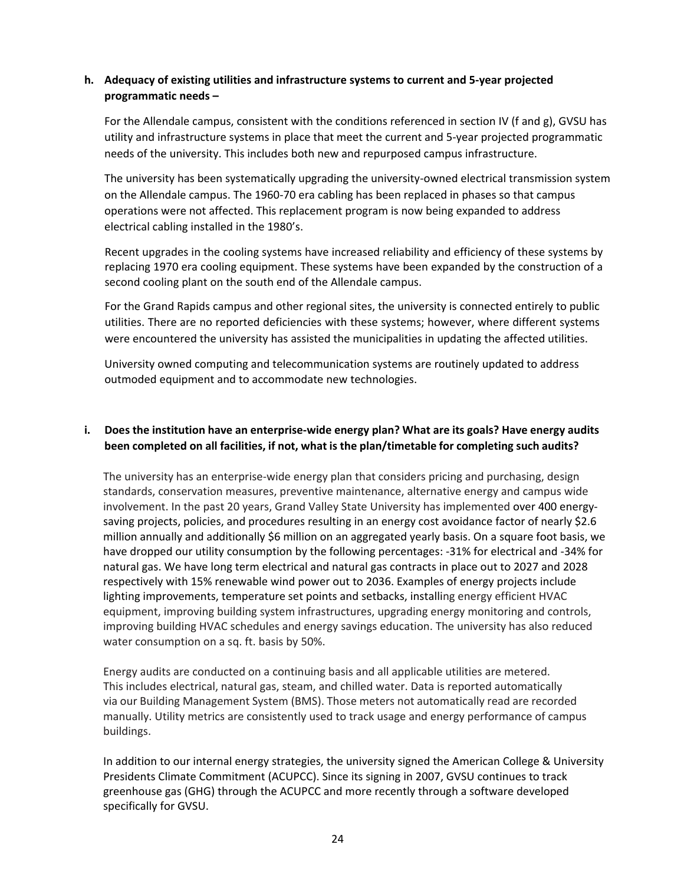### **h. Adequacy of existing utilities and infrastructure systems to current and 5‐year projected programmatic needs –**

For the Allendale campus, consistent with the conditions referenced in section IV (f and g), GVSU has utility and infrastructure systems in place that meet the current and 5‐year projected programmatic needs of the university. This includes both new and repurposed campus infrastructure.

The university has been systematically upgrading the university-owned electrical transmission system on the Allendale campus. The 1960‐70 era cabling has been replaced in phases so that campus operations were not affected. This replacement program is now being expanded to address electrical cabling installed in the 1980's.

Recent upgrades in the cooling systems have increased reliability and efficiency of these systems by replacing 1970 era cooling equipment. These systems have been expanded by the construction of a second cooling plant on the south end of the Allendale campus.

For the Grand Rapids campus and other regional sites, the university is connected entirely to public utilities. There are no reported deficiencies with these systems; however, where different systems were encountered the university has assisted the municipalities in updating the affected utilities.

University owned computing and telecommunication systems are routinely updated to address outmoded equipment and to accommodate new technologies.

# i. Does the institution have an enterprise-wide energy plan? What are its goals? Have energy audits **been completed on all facilities, if not, what is the plan/timetable for completing such audits?**

The university has an enterprise-wide energy plan that considers pricing and purchasing, design standards, conservation measures, preventive maintenance, alternative energy and campus wide involvement. In the past 20 years, Grand Valley State University has implemented over 400 energy‐ saving projects, policies, and procedures resulting in an energy cost avoidance factor of nearly \$2.6 million annually and additionally \$6 million on an aggregated yearly basis. On a square foot basis, we have dropped our utility consumption by the following percentages: -31% for electrical and -34% for natural gas. We have long term electrical and natural gas contracts in place out to 2027 and 2028 respectively with 15% renewable wind power out to 2036. Examples of energy projects include lighting improvements, temperature set points and setbacks, installing energy efficient HVAC equipment, improving building system infrastructures, upgrading energy monitoring and controls, improving building HVAC schedules and energy savings education. The university has also reduced water consumption on a sq. ft. basis by 50%.

Energy audits are conducted on a continuing basis and all applicable utilities are metered. This includes electrical, natural gas, steam, and chilled water. Data is reported automatically via our Building Management System (BMS). Those meters not automatically read are recorded manually. Utility metrics are consistently used to track usage and energy performance of campus buildings.

In addition to our internal energy strategies, the university signed the American College & University Presidents Climate Commitment (ACUPCC). Since its signing in 2007, GVSU continues to track greenhouse gas (GHG) through the ACUPCC and more recently through a software developed specifically for GVSU.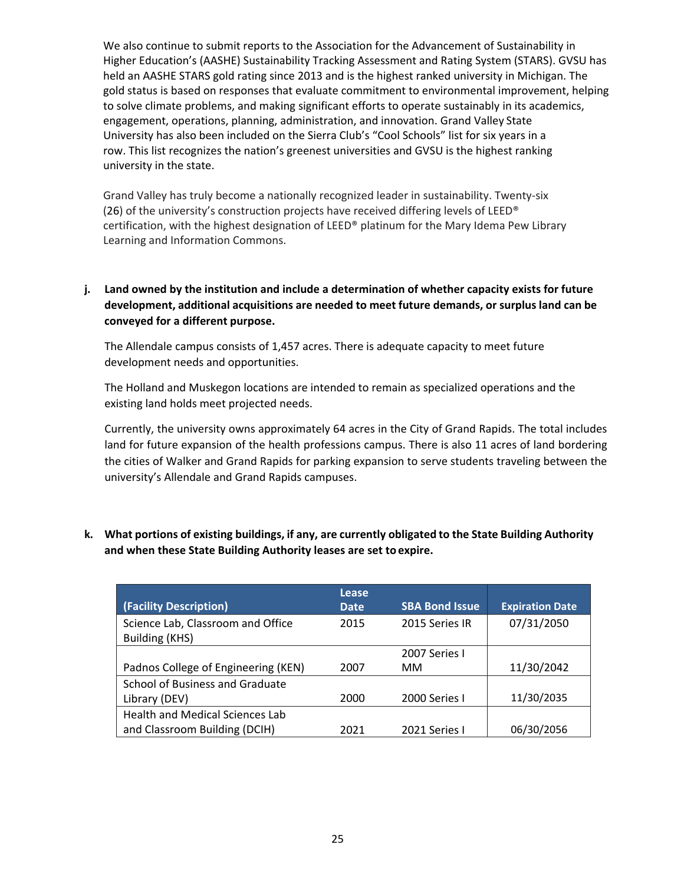We also continue to submit reports to the Association for the Advancement of Sustainability in Higher Education's (AASHE) Sustainability Tracking Assessment and Rating System (STARS). GVSU has held an AASHE STARS gold rating since 2013 and is the highest ranked university in Michigan. The gold status is based on responses that evaluate commitment to environmental improvement, helping to solve climate problems, and making significant efforts to operate sustainably in its academics, engagement, operations, planning, administration, and innovation. Grand Valley State University has also been included on the Sierra Club's "Cool Schools" list for six years in a row. This list recognizes the nation's greenest universities and GVSU is the highest ranking university in the state.

Grand Valley has truly become a nationally recognized leader in sustainability. Twenty‐six (26) of the university's construction projects have received differing levels of LEED<sup>®</sup> certification, with the highest designation of LEED® platinum for the Mary Idema Pew Library Learning and Information Commons.

# **j. Land owned by the institution and include a determination of whether capacity exists for future development, additional acquisitions are needed to meet future demands, or surplus land can be conveyed for a different purpose.**

The Allendale campus consists of 1,457 acres. There is adequate capacity to meet future development needs and opportunities.

The Holland and Muskegon locations are intended to remain as specialized operations and the existing land holds meet projected needs.

Currently, the university owns approximately 64 acres in the City of Grand Rapids. The total includes land for future expansion of the health professions campus. There is also 11 acres of land bordering the cities of Walker and Grand Rapids for parking expansion to serve students traveling between the university's Allendale and Grand Rapids campuses.

|                                                     | Lease |                       |                        |
|-----------------------------------------------------|-------|-----------------------|------------------------|
| (Facility Description)                              | Date. | <b>SBA Bond Issue</b> | <b>Expiration Date</b> |
| Science Lab, Classroom and Office<br>Building (KHS) | 2015  | 2015 Series IR        | 07/31/2050             |
|                                                     |       | 2007 Series I         |                        |
| Padnos College of Engineering (KEN)                 | 2007  | MМ                    | 11/30/2042             |
| School of Business and Graduate                     |       |                       |                        |
| Library (DEV)                                       | 2000  | 2000 Series I         | 11/30/2035             |
| <b>Health and Medical Sciences Lab</b>              |       |                       |                        |
| and Classroom Building (DCIH)                       | 2021  | 2021 Series I         | 06/30/2056             |

# **k. What portions of existing buildings, if any, are currently obligated to the State Building Authority and when these State Building Authority leases are set toexpire.**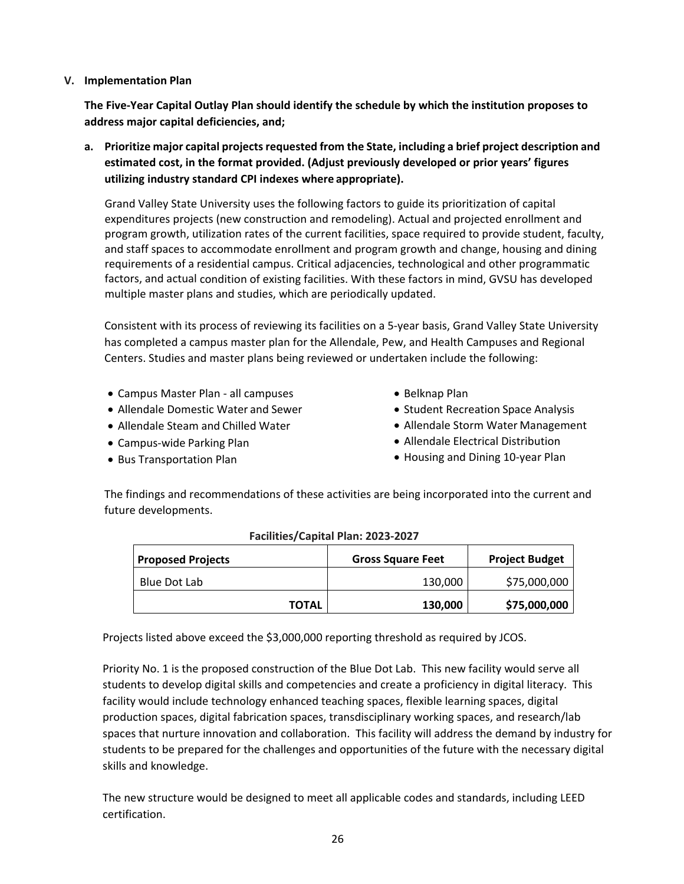#### **V. Implementation Plan**

**The Five‐Year Capital Outlay Plan should identify the schedule by which the institution proposes to address major capital deficiencies, and;**

**a. Prioritize major capital projectsrequested from the State, including a brief project description and estimated cost, in the format provided. (Adjust previously developed or prior years' figures utilizing industry standard CPI indexes where appropriate).**

Grand Valley State University uses the following factors to guide its prioritization of capital expenditures projects (new construction and remodeling). Actual and projected enrollment and program growth, utilization rates of the current facilities, space required to provide student, faculty, and staff spaces to accommodate enrollment and program growth and change, housing and dining requirements of a residential campus. Critical adjacencies, technological and other programmatic factors, and actual condition of existing facilities. With these factors in mind, GVSU has developed multiple master plans and studies, which are periodically updated.

Consistent with its process of reviewing its facilities on a 5‐year basis, Grand Valley State University has completed a campus master plan for the Allendale, Pew, and Health Campuses and Regional Centers. Studies and master plans being reviewed or undertaken include the following:

- Campus Master Plan ‐ all campuses
- Allendale Domestic Water and Sewer
- Allendale Steam and Chilled Water
- Campus‐wide Parking Plan
- Bus Transportation Plan
- Belknap Plan
- Student Recreation Space Analysis
- Allendale Storm Water Management
- Allendale Electrical Distribution
- Housing and Dining 10-year Plan

The findings and recommendations of these activities are being incorporated into the current and future developments.

| <b>Proposed Projects</b> |              | <b>Gross Square Feet</b> | <b>Project Budget</b> |
|--------------------------|--------------|--------------------------|-----------------------|
| Blue Dot Lab             |              | 130.000                  | \$75,000,000          |
|                          | <b>TOTAL</b> | 130,000                  | \$75,000,000          |

#### **Facilities/Capital Plan: 2023‐2027**

Projects listed above exceed the \$3,000,000 reporting threshold as required by JCOS.

Priority No. 1 is the proposed construction of the Blue Dot Lab. This new facility would serve all students to develop digital skills and competencies and create a proficiency in digital literacy. This facility would include technology enhanced teaching spaces, flexible learning spaces, digital production spaces, digital fabrication spaces, transdisciplinary working spaces, and research/lab spaces that nurture innovation and collaboration. This facility will address the demand by industry for students to be prepared for the challenges and opportunities of the future with the necessary digital skills and knowledge.

The new structure would be designed to meet all applicable codes and standards, including LEED certification.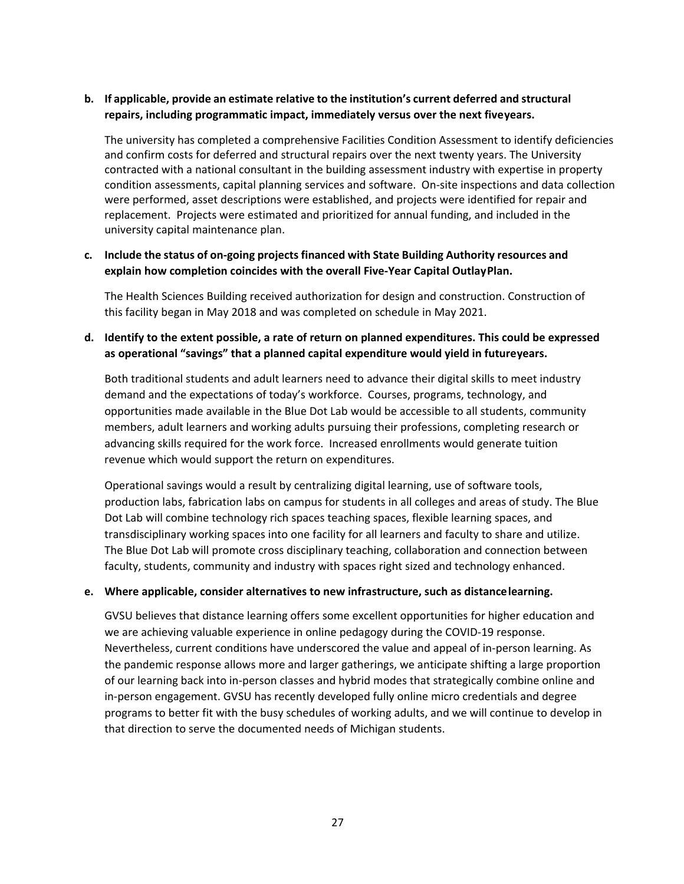# **b. If applicable, provide an estimate relative to the institution's current deferred and structural repairs, including programmatic impact, immediately versus over the next fiveyears.**

The university has completed a comprehensive Facilities Condition Assessment to identify deficiencies and confirm costs for deferred and structural repairs over the next twenty years. The University contracted with a national consultant in the building assessment industry with expertise in property condition assessments, capital planning services and software. On‐site inspections and data collection were performed, asset descriptions were established, and projects were identified for repair and replacement. Projects were estimated and prioritized for annual funding, and included in the university capital maintenance plan.

### **c. Include the status of on‐going projects financed with State Building Authority resources and explain how completion coincides with the overall Five‐Year Capital OutlayPlan.**

The Health Sciences Building received authorization for design and construction. Construction of this facility began in May 2018 and was completed on schedule in May 2021.

# **d. Identify to the extent possible, a rate of return on planned expenditures. This could be expressed as operational "savings" that a planned capital expenditure would yield in futureyears.**

Both traditional students and adult learners need to advance their digital skills to meet industry demand and the expectations of today's workforce. Courses, programs, technology, and opportunities made available in the Blue Dot Lab would be accessible to all students, community members, adult learners and working adults pursuing their professions, completing research or advancing skills required for the work force. Increased enrollments would generate tuition revenue which would support the return on expenditures.

Operational savings would a result by centralizing digital learning, use of software tools, production labs, fabrication labs on campus for students in all colleges and areas of study. The Blue Dot Lab will combine technology rich spaces teaching spaces, flexible learning spaces, and transdisciplinary working spaces into one facility for all learners and faculty to share and utilize. The Blue Dot Lab will promote cross disciplinary teaching, collaboration and connection between faculty, students, community and industry with spaces right sized and technology enhanced.

#### **e. Where applicable, consider alternatives to new infrastructure, such as distancelearning.**

GVSU believes that distance learning offers some excellent opportunities for higher education and we are achieving valuable experience in online pedagogy during the COVID‐19 response. Nevertheless, current conditions have underscored the value and appeal of in‐person learning. As the pandemic response allows more and larger gatherings, we anticipate shifting a large proportion of our learning back into in‐person classes and hybrid modes that strategically combine online and in-person engagement. GVSU has recently developed fully online micro credentials and degree programs to better fit with the busy schedules of working adults, and we will continue to develop in that direction to serve the documented needs of Michigan students.